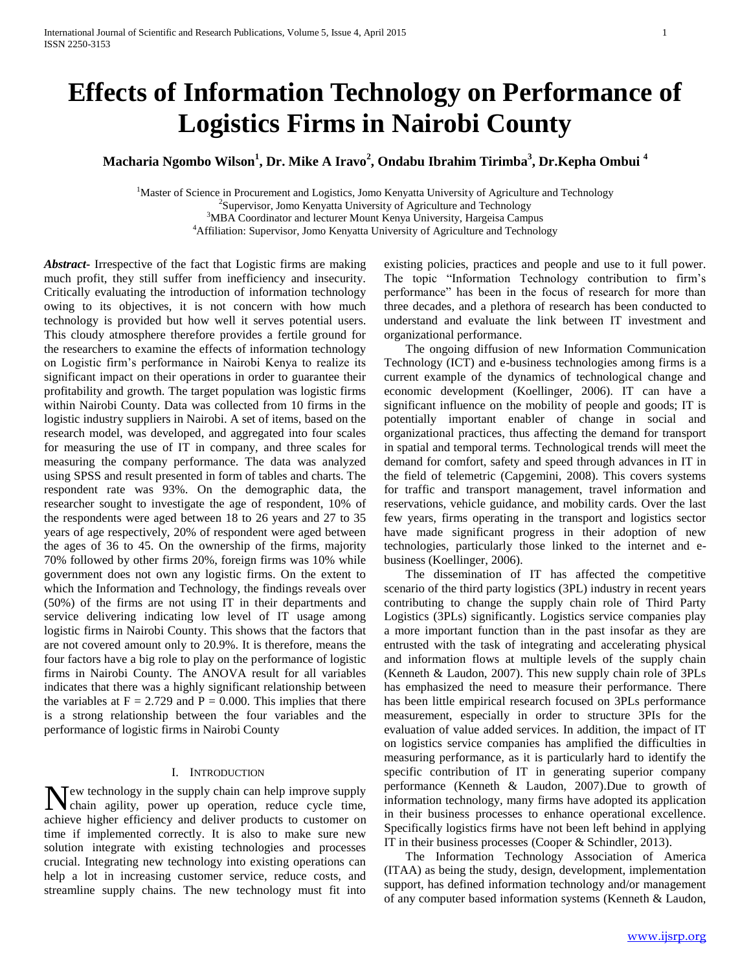# **Effects of Information Technology on Performance of Logistics Firms in Nairobi County**

**Macharia Ngombo Wilson<sup>1</sup> , Dr. Mike A Iravo<sup>2</sup> , Ondabu Ibrahim Tirimba<sup>3</sup> , Dr.Kepha Ombui <sup>4</sup>**

<sup>1</sup>Master of Science in Procurement and Logistics, Jomo Kenyatta University of Agriculture and Technology

<sup>2</sup>Supervisor, Jomo Kenyatta University of Agriculture and Technology

<sup>3</sup>MBA Coordinator and lecturer Mount Kenya University, Hargeisa Campus

<sup>4</sup>Affiliation: Supervisor, Jomo Kenyatta University of Agriculture and Technology

*Abstract***-** Irrespective of the fact that Logistic firms are making much profit, they still suffer from inefficiency and insecurity. Critically evaluating the introduction of information technology owing to its objectives, it is not concern with how much technology is provided but how well it serves potential users. This cloudy atmosphere therefore provides a fertile ground for the researchers to examine the effects of information technology on Logistic firm's performance in Nairobi Kenya to realize its significant impact on their operations in order to guarantee their profitability and growth. The target population was logistic firms within Nairobi County. Data was collected from 10 firms in the logistic industry suppliers in Nairobi. A set of items, based on the research model, was developed, and aggregated into four scales for measuring the use of IT in company, and three scales for measuring the company performance. The data was analyzed using SPSS and result presented in form of tables and charts. The respondent rate was 93%. On the demographic data, the researcher sought to investigate the age of respondent, 10% of the respondents were aged between 18 to 26 years and 27 to 35 years of age respectively, 20% of respondent were aged between the ages of 36 to 45. On the ownership of the firms, majority 70% followed by other firms 20%, foreign firms was 10% while government does not own any logistic firms. On the extent to which the Information and Technology, the findings reveals over (50%) of the firms are not using IT in their departments and service delivering indicating low level of IT usage among logistic firms in Nairobi County. This shows that the factors that are not covered amount only to 20.9%. It is therefore, means the four factors have a big role to play on the performance of logistic firms in Nairobi County. The ANOVA result for all variables indicates that there was a highly significant relationship between the variables at  $F = 2.729$  and  $P = 0.000$ . This implies that there is a strong relationship between the four variables and the performance of logistic firms in Nairobi County

#### I. INTRODUCTION

ew technology in the supply chain can help improve supply New technology in the supply chain can help improve supply chain agility, power up operation, reduce cycle time, achieve higher efficiency and deliver products to customer on time if implemented correctly. It is also to make sure new solution integrate with existing technologies and processes crucial. Integrating new technology into existing operations can help a lot in increasing customer service, reduce costs, and streamline supply chains. The new technology must fit into

existing policies, practices and people and use to it full power. The topic "Information Technology contribution to firm's performance" has been in the focus of research for more than three decades, and a plethora of research has been conducted to understand and evaluate the link between IT investment and organizational performance.

 The ongoing diffusion of new Information Communication Technology (ICT) and e-business technologies among firms is a current example of the dynamics of technological change and economic development (Koellinger, 2006). IT can have a significant influence on the mobility of people and goods; IT is potentially important enabler of change in social and organizational practices, thus affecting the demand for transport in spatial and temporal terms. Technological trends will meet the demand for comfort, safety and speed through advances in IT in the field of telemetric (Capgemini, 2008). This covers systems for traffic and transport management, travel information and reservations, vehicle guidance, and mobility cards. Over the last few years, firms operating in the transport and logistics sector have made significant progress in their adoption of new technologies, particularly those linked to the internet and ebusiness (Koellinger, 2006).

 The dissemination of IT has affected the competitive scenario of the third party logistics (3PL) industry in recent years contributing to change the supply chain role of Third Party Logistics (3PLs) significantly. Logistics service companies play a more important function than in the past insofar as they are entrusted with the task of integrating and accelerating physical and information flows at multiple levels of the supply chain (Kenneth & Laudon, 2007). This new supply chain role of 3PLs has emphasized the need to measure their performance. There has been little empirical research focused on 3PLs performance measurement, especially in order to structure 3PIs for the evaluation of value added services. In addition, the impact of IT on logistics service companies has amplified the difficulties in measuring performance, as it is particularly hard to identify the specific contribution of IT in generating superior company performance (Kenneth & Laudon, 2007).Due to growth of information technology, many firms have adopted its application in their business processes to enhance operational excellence. Specifically logistics firms have not been left behind in applying IT in their business processes (Cooper & Schindler, 2013).

 The Information Technology Association of America (ITAA) as being the study, design, development, implementation support, has defined information technology and/or management of any computer based information systems (Kenneth & Laudon,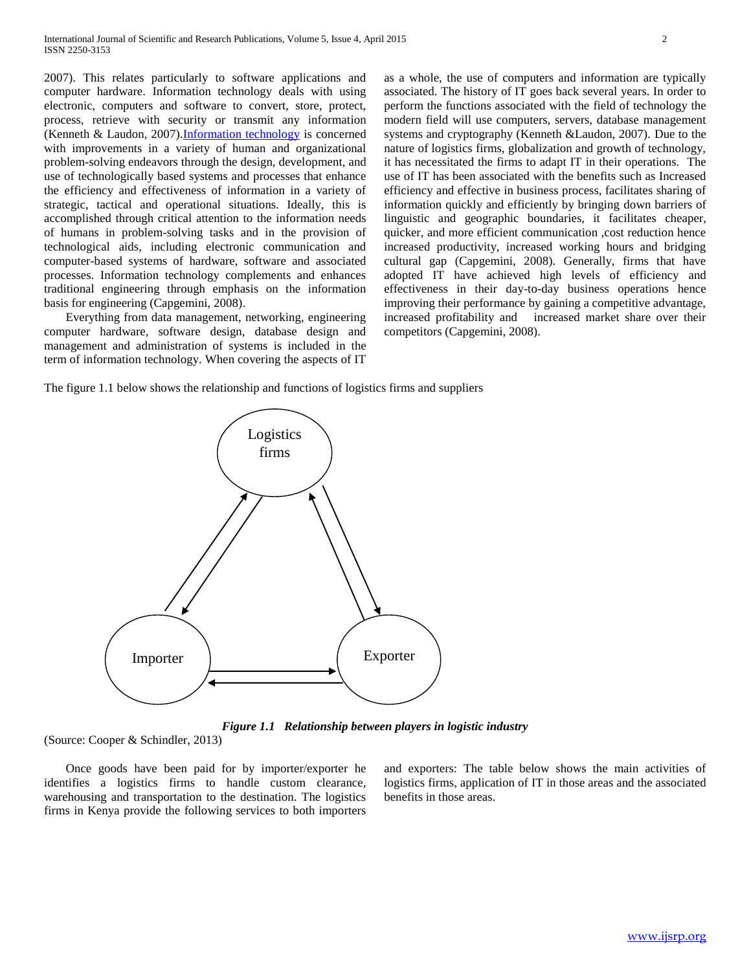2007). This relates particularly to software applications and computer hardware. Information technology deals with using electronic, computers and software to convert, store, protect, process, retrieve with security or transmit any information (Kenneth & Laudon, 2007)[.Information technology](http://www.answers.com/topic/information-technology) is concerned with improvements in a variety of human and organizational problem-solving endeavors through the design, development, and use of technologically based systems and processes that enhance the efficiency and effectiveness of information in a variety of strategic, tactical and operational situations. Ideally, this is accomplished through critical attention to the information needs of humans in problem-solving tasks and in the provision of technological aids, including electronic communication and computer-based systems of hardware, software and associated processes. Information technology complements and enhances traditional engineering through emphasis on the information basis for engineering (Capgemini, 2008).

 Everything from data management, networking, engineering computer hardware, software design, database design and management and administration of systems is included in the term of information technology. When covering the aspects of IT

as a whole, the use of computers and information are typically associated. The history of IT goes back several years. In order to perform the functions associated with the field of technology the modern field will use computers, servers, database management systems and cryptography (Kenneth &Laudon, 2007). Due to the nature of logistics firms, globalization and growth of technology, it has necessitated the firms to adapt IT in their operations. The use of IT has been associated with the benefits such as Increased efficiency and effective in business process, facilitates sharing of information quickly and efficiently by bringing down barriers of linguistic and geographic boundaries, it facilitates cheaper, quicker, and more efficient communication ,cost reduction hence increased productivity, increased working hours and bridging cultural gap (Capgemini, 2008). Generally, firms that have adopted IT have achieved high levels of efficiency and effectiveness in their day-to-day business operations hence improving their performance by gaining a competitive advantage, increased profitability and increased market share over their competitors (Capgemini, 2008).

The figure 1.1 below shows the relationship and functions of logistics firms and suppliers



*Figure 1.1 Relationship between players in logistic industry*

(Source: Cooper & Schindler, 2013)

 Once goods have been paid for by importer/exporter he identifies a logistics firms to handle custom clearance, warehousing and transportation to the destination. The logistics firms in Kenya provide the following services to both importers

and exporters: The table below shows the main activities of logistics firms, application of IT in those areas and the associated benefits in those areas.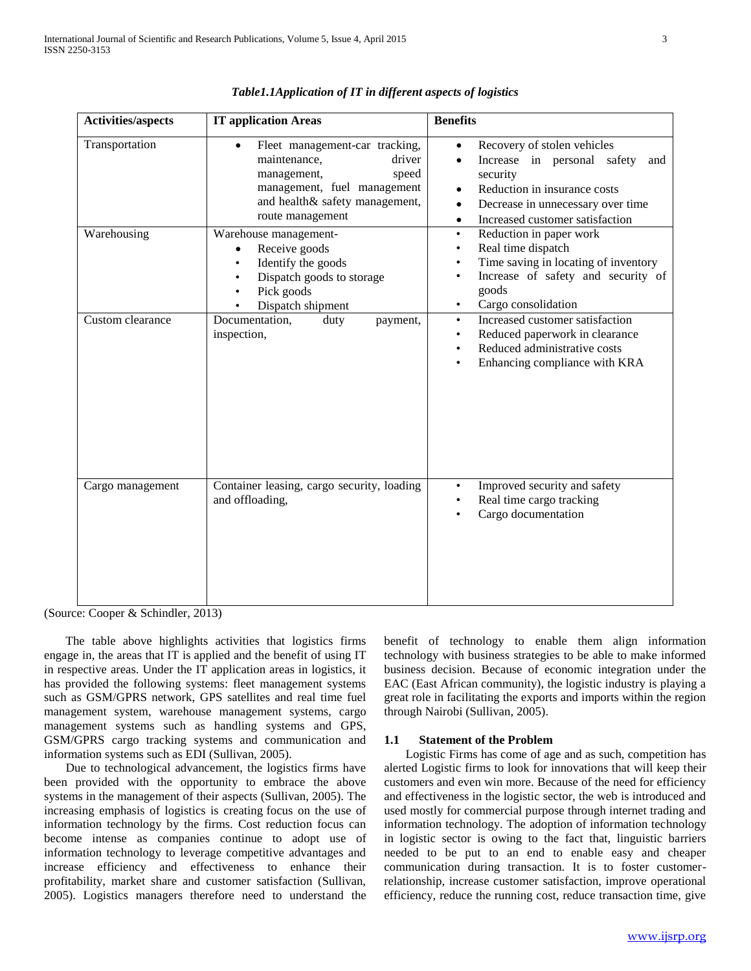| <b>Activities/aspects</b>     | <b>IT application Areas</b>                                                                                                                                                                    | <b>Benefits</b>                                                                                                                                                                                                                                                                                |
|-------------------------------|------------------------------------------------------------------------------------------------------------------------------------------------------------------------------------------------|------------------------------------------------------------------------------------------------------------------------------------------------------------------------------------------------------------------------------------------------------------------------------------------------|
| Transportation<br>Warehousing | Fleet management-car tracking,<br>maintenance,<br>driver<br>management,<br>speed<br>management, fuel management<br>and health& safety management,<br>route management<br>Warehouse management- | Recovery of stolen vehicles<br>$\bullet$<br>Increase in personal safety<br>$\bullet$<br>and<br>security<br>Reduction in insurance costs<br>$\bullet$<br>Decrease in unnecessary over time<br>$\bullet$<br>Increased customer satisfaction<br>$\bullet$<br>Reduction in paper work<br>$\bullet$ |
|                               | Receive goods<br>٠<br>Identify the goods<br>٠<br>Dispatch goods to storage<br>Pick goods<br>Dispatch shipment                                                                                  | Real time dispatch<br>$\bullet$<br>Time saving in locating of inventory<br>Increase of safety and security of<br>$\bullet$<br>goods<br>Cargo consolidation<br>٠                                                                                                                                |
| Custom clearance              | Documentation,<br>duty<br>payment,<br>inspection,                                                                                                                                              | Increased customer satisfaction<br>$\bullet$<br>Reduced paperwork in clearance<br>٠<br>Reduced administrative costs<br>Enhancing compliance with KRA                                                                                                                                           |
| Cargo management              | Container leasing, cargo security, loading<br>and offloading,                                                                                                                                  | Improved security and safety<br>$\bullet$<br>Real time cargo tracking<br>Cargo documentation                                                                                                                                                                                                   |

*Table1.1Application of IT in different aspects of logistics*

(Source: Cooper & Schindler, 2013)

 The table above highlights activities that logistics firms engage in, the areas that IT is applied and the benefit of using IT in respective areas. Under the IT application areas in logistics, it has provided the following systems: fleet management systems such as GSM/GPRS network, GPS satellites and real time fuel management system, warehouse management systems, cargo management systems such as handling systems and GPS, GSM/GPRS cargo tracking systems and communication and information systems such as EDI (Sullivan, 2005).

 Due to technological advancement, the logistics firms have been provided with the opportunity to embrace the above systems in the management of their aspects (Sullivan, 2005). The increasing emphasis of logistics is creating focus on the use of information technology by the firms. Cost reduction focus can become intense as companies continue to adopt use of information technology to leverage competitive advantages and increase efficiency and effectiveness to enhance their profitability, market share and customer satisfaction (Sullivan, 2005). Logistics managers therefore need to understand the

benefit of technology to enable them align information technology with business strategies to be able to make informed business decision. Because of economic integration under the EAC (East African community), the logistic industry is playing a great role in facilitating the exports and imports within the region through Nairobi (Sullivan, 2005).

# **1.1 Statement of the Problem**

 Logistic Firms has come of age and as such, competition has alerted Logistic firms to look for innovations that will keep their customers and even win more. Because of the need for efficiency and effectiveness in the logistic sector, the web is introduced and used mostly for commercial purpose through internet trading and information technology. The adoption of information technology in logistic sector is owing to the fact that, linguistic barriers needed to be put to an end to enable easy and cheaper communication during transaction. It is to foster customerrelationship, increase customer satisfaction, improve operational efficiency, reduce the running cost, reduce transaction time, give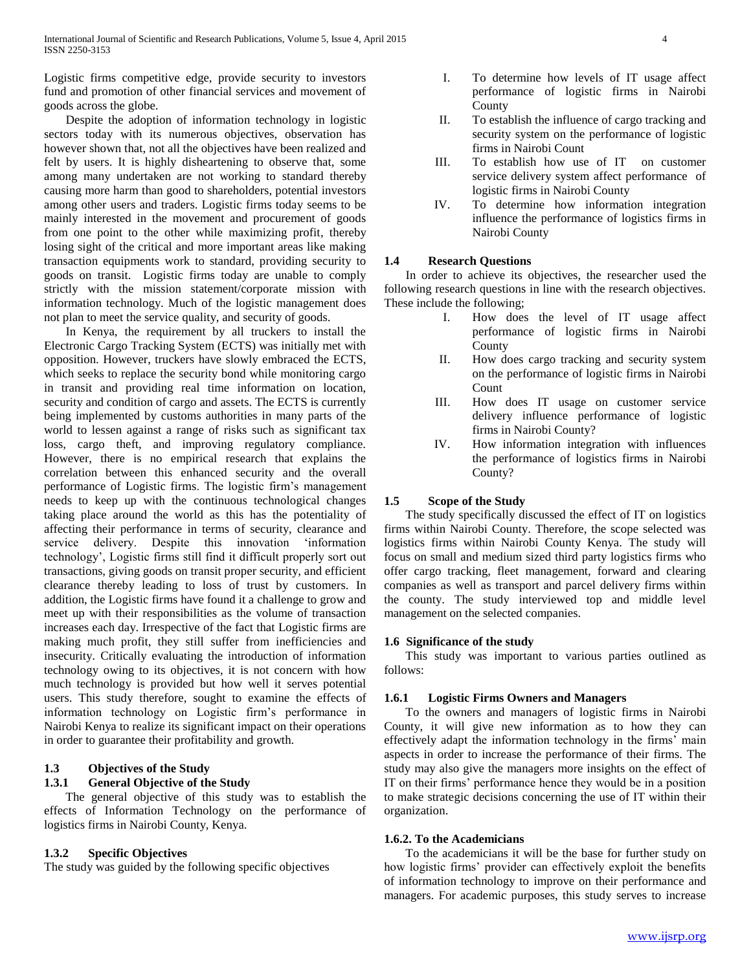Logistic firms competitive edge, provide security to investors fund and promotion of other financial services and movement of goods across the globe.

 Despite the adoption of information technology in logistic sectors today with its numerous objectives, observation has however shown that, not all the objectives have been realized and felt by users. It is highly disheartening to observe that, some among many undertaken are not working to standard thereby causing more harm than good to shareholders, potential investors among other users and traders. Logistic firms today seems to be mainly interested in the movement and procurement of goods from one point to the other while maximizing profit, thereby losing sight of the critical and more important areas like making transaction equipments work to standard, providing security to goods on transit. Logistic firms today are unable to comply strictly with the mission statement/corporate mission with information technology. Much of the logistic management does not plan to meet the service quality, and security of goods.

 In Kenya, the requirement by all truckers to install the Electronic Cargo Tracking System (ECTS) was initially met with opposition. However, truckers have slowly embraced the ECTS, which seeks to replace the security bond while monitoring cargo in transit and providing real time information on location, security and condition of cargo and assets. The ECTS is currently being implemented by customs authorities in many parts of the world to lessen against a range of risks such as significant tax loss, cargo theft, and improving regulatory compliance. However, there is no empirical research that explains the correlation between this enhanced security and the overall performance of Logistic firms. The logistic firm's management needs to keep up with the continuous technological changes taking place around the world as this has the potentiality of affecting their performance in terms of security, clearance and service delivery. Despite this innovation 'information technology', Logistic firms still find it difficult properly sort out transactions, giving goods on transit proper security, and efficient clearance thereby leading to loss of trust by customers. In addition, the Logistic firms have found it a challenge to grow and meet up with their responsibilities as the volume of transaction increases each day. Irrespective of the fact that Logistic firms are making much profit, they still suffer from inefficiencies and insecurity. Critically evaluating the introduction of information technology owing to its objectives, it is not concern with how much technology is provided but how well it serves potential users. This study therefore, sought to examine the effects of information technology on Logistic firm's performance in Nairobi Kenya to realize its significant impact on their operations in order to guarantee their profitability and growth.

## **1.3 Objectives of the Study**

#### **1.3.1 General Objective of the Study**

 The general objective of this study was to establish the effects of Information Technology on the performance of logistics firms in Nairobi County, Kenya.

# **1.3.2 Specific Objectives**

The study was guided by the following specific objectives

- I. To determine how levels of IT usage affect performance of logistic firms in Nairobi County
- II. To establish the influence of cargo tracking and security system on the performance of logistic firms in Nairobi Count
- III. To establish how use of IT on customer service delivery system affect performance of logistic firms in Nairobi County
- IV. To determine how information integration influence the performance of logistics firms in Nairobi County

#### **1.4 Research Questions**

 In order to achieve its objectives, the researcher used the following research questions in line with the research objectives. These include the following;

- I. How does the level of IT usage affect performance of logistic firms in Nairobi County
- II. How does cargo tracking and security system on the performance of logistic firms in Nairobi Count
- III. How does IT usage on customer service delivery influence performance of logistic firms in Nairobi County?
- IV. How information integration with influences the performance of logistics firms in Nairobi County?

# **1.5 Scope of the Study**

 The study specifically discussed the effect of IT on logistics firms within Nairobi County. Therefore, the scope selected was logistics firms within Nairobi County Kenya. The study will focus on small and medium sized third party logistics firms who offer cargo tracking, fleet management, forward and clearing companies as well as transport and parcel delivery firms within the county. The study interviewed top and middle level management on the selected companies.

#### **1.6 Significance of the study**

 This study was important to various parties outlined as follows:

#### **1.6.1 Logistic Firms Owners and Managers**

 To the owners and managers of logistic firms in Nairobi County, it will give new information as to how they can effectively adapt the information technology in the firms' main aspects in order to increase the performance of their firms. The study may also give the managers more insights on the effect of IT on their firms' performance hence they would be in a position to make strategic decisions concerning the use of IT within their organization.

#### **1.6.2. To the Academicians**

 To the academicians it will be the base for further study on how logistic firms' provider can effectively exploit the benefits of information technology to improve on their performance and managers. For academic purposes, this study serves to increase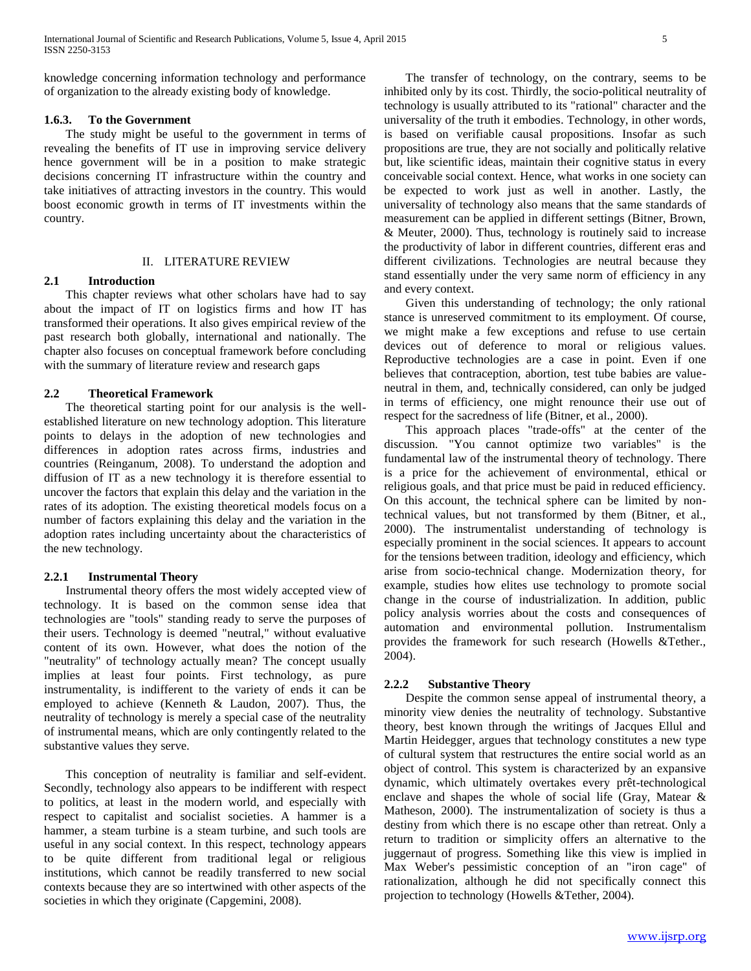knowledge concerning information technology and performance of organization to the already existing body of knowledge.

### **1.6.3. To the Government**

 The study might be useful to the government in terms of revealing the benefits of IT use in improving service delivery hence government will be in a position to make strategic decisions concerning IT infrastructure within the country and take initiatives of attracting investors in the country. This would boost economic growth in terms of IT investments within the country.

#### II. LITERATURE REVIEW

#### **2.1 Introduction**

 This chapter reviews what other scholars have had to say about the impact of IT on logistics firms and how IT has transformed their operations. It also gives empirical review of the past research both globally, international and nationally. The chapter also focuses on conceptual framework before concluding with the summary of literature review and research gaps

#### **2.2 Theoretical Framework**

 The theoretical starting point for our analysis is the wellestablished literature on new technology adoption. This literature points to delays in the adoption of new technologies and differences in adoption rates across firms, industries and countries (Reinganum, 2008). To understand the adoption and diffusion of IT as a new technology it is therefore essential to uncover the factors that explain this delay and the variation in the rates of its adoption. The existing theoretical models focus on a number of factors explaining this delay and the variation in the adoption rates including uncertainty about the characteristics of the new technology.

#### **2.2.1 Instrumental Theory**

 Instrumental theory offers the most widely accepted view of technology. It is based on the common sense idea that technologies are "tools" standing ready to serve the purposes of their users. Technology is deemed "neutral," without evaluative content of its own. However, what does the notion of the "neutrality" of technology actually mean? The concept usually implies at least four points. First technology, as pure instrumentality, is indifferent to the variety of ends it can be employed to achieve (Kenneth & Laudon, 2007). Thus, the neutrality of technology is merely a special case of the neutrality of instrumental means, which are only contingently related to the substantive values they serve.

 This conception of neutrality is familiar and self-evident. Secondly, technology also appears to be indifferent with respect to politics, at least in the modern world, and especially with respect to capitalist and socialist societies. A hammer is a hammer, a steam turbine is a steam turbine, and such tools are useful in any social context. In this respect, technology appears to be quite different from traditional legal or religious institutions, which cannot be readily transferred to new social contexts because they are so intertwined with other aspects of the societies in which they originate (Capgemini, 2008).

 The transfer of technology, on the contrary, seems to be inhibited only by its cost. Thirdly, the socio-political neutrality of technology is usually attributed to its "rational" character and the universality of the truth it embodies. Technology, in other words, is based on verifiable causal propositions. Insofar as such propositions are true, they are not socially and politically relative but, like scientific ideas, maintain their cognitive status in every conceivable social context. Hence, what works in one society can be expected to work just as well in another. Lastly, the universality of technology also means that the same standards of measurement can be applied in different settings (Bitner, Brown, & Meuter, 2000). Thus, technology is routinely said to increase the productivity of labor in different countries, different eras and different civilizations. Technologies are neutral because they stand essentially under the very same norm of efficiency in any and every context.

 Given this understanding of technology; the only rational stance is unreserved commitment to its employment. Of course, we might make a few exceptions and refuse to use certain devices out of deference to moral or religious values. Reproductive technologies are a case in point. Even if one believes that contraception, abortion, test tube babies are valueneutral in them, and, technically considered, can only be judged in terms of efficiency, one might renounce their use out of respect for the sacredness of life (Bitner, et al., 2000).

 This approach places "trade-offs" at the center of the discussion. "You cannot optimize two variables" is the fundamental law of the instrumental theory of technology. There is a price for the achievement of environmental, ethical or religious goals, and that price must be paid in reduced efficiency. On this account, the technical sphere can be limited by nontechnical values, but not transformed by them (Bitner, et al., 2000). The instrumentalist understanding of technology is especially prominent in the social sciences. It appears to account for the tensions between tradition, ideology and efficiency, which arise from socio-technical change. Modernization theory, for example, studies how elites use technology to promote social change in the course of industrialization. In addition, public policy analysis worries about the costs and consequences of automation and environmental pollution. Instrumentalism provides the framework for such research (Howells &Tether., 2004).

#### **2.2.2 Substantive Theory**

 Despite the common sense appeal of instrumental theory, a minority view denies the neutrality of technology. Substantive theory, best known through the writings of Jacques Ellul and Martin Heidegger, argues that technology constitutes a new type of cultural system that restructures the entire social world as an object of control. This system is characterized by an expansive dynamic, which ultimately overtakes every prêt-technological enclave and shapes the whole of social life (Gray, Matear & Matheson, 2000). The instrumentalization of society is thus a destiny from which there is no escape other than retreat. Only a return to tradition or simplicity offers an alternative to the juggernaut of progress. Something like this view is implied in Max Weber's pessimistic conception of an "iron cage" of rationalization, although he did not specifically connect this projection to technology (Howells &Tether, 2004).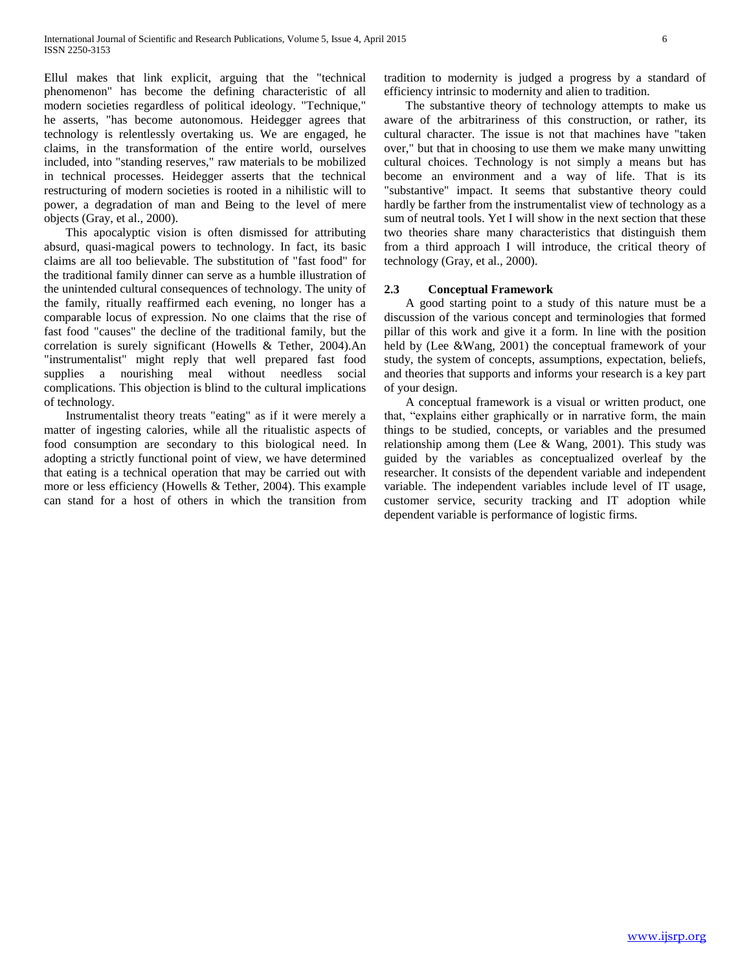Ellul makes that link explicit, arguing that the "technical phenomenon" has become the defining characteristic of all modern societies regardless of political ideology. "Technique," he asserts, "has become autonomous. Heidegger agrees that technology is relentlessly overtaking us. We are engaged, he claims, in the transformation of the entire world, ourselves included, into "standing reserves," raw materials to be mobilized in technical processes. Heidegger asserts that the technical restructuring of modern societies is rooted in a nihilistic will to power, a degradation of man and Being to the level of mere objects (Gray, et al., 2000).

 This apocalyptic vision is often dismissed for attributing absurd, quasi-magical powers to technology. In fact, its basic claims are all too believable. The substitution of "fast food" for the traditional family dinner can serve as a humble illustration of the unintended cultural consequences of technology. The unity of the family, ritually reaffirmed each evening, no longer has a comparable locus of expression. No one claims that the rise of fast food "causes" the decline of the traditional family, but the correlation is surely significant (Howells & Tether, 2004).An "instrumentalist" might reply that well prepared fast food supplies a nourishing meal without needless social complications. This objection is blind to the cultural implications of technology.

 Instrumentalist theory treats "eating" as if it were merely a matter of ingesting calories, while all the ritualistic aspects of food consumption are secondary to this biological need. In adopting a strictly functional point of view, we have determined that eating is a technical operation that may be carried out with more or less efficiency (Howells & Tether, 2004). This example can stand for a host of others in which the transition from

tradition to modernity is judged a progress by a standard of efficiency intrinsic to modernity and alien to tradition.

 The substantive theory of technology attempts to make us aware of the arbitrariness of this construction, or rather, its cultural character. The issue is not that machines have "taken over," but that in choosing to use them we make many unwitting cultural choices. Technology is not simply a means but has become an environment and a way of life. That is its "substantive" impact. It seems that substantive theory could hardly be farther from the instrumentalist view of technology as a sum of neutral tools. Yet I will show in the next section that these two theories share many characteristics that distinguish them from a third approach I will introduce, the critical theory of technology (Gray, et al., 2000).

### **2.3 Conceptual Framework**

 A good starting point to a study of this nature must be a discussion of the various concept and terminologies that formed pillar of this work and give it a form. In line with the position held by (Lee &Wang, 2001) the conceptual framework of your study, the system of concepts, assumptions, expectation, beliefs, and theories that supports and informs your research is a key part of your design.

 A conceptual framework is a visual or written product, one that, "explains either graphically or in narrative form, the main things to be studied, concepts, or variables and the presumed relationship among them (Lee & Wang, 2001). This study was guided by the variables as conceptualized overleaf by the researcher. It consists of the dependent variable and independent variable. The independent variables include level of IT usage, customer service, security tracking and IT adoption while dependent variable is performance of logistic firms.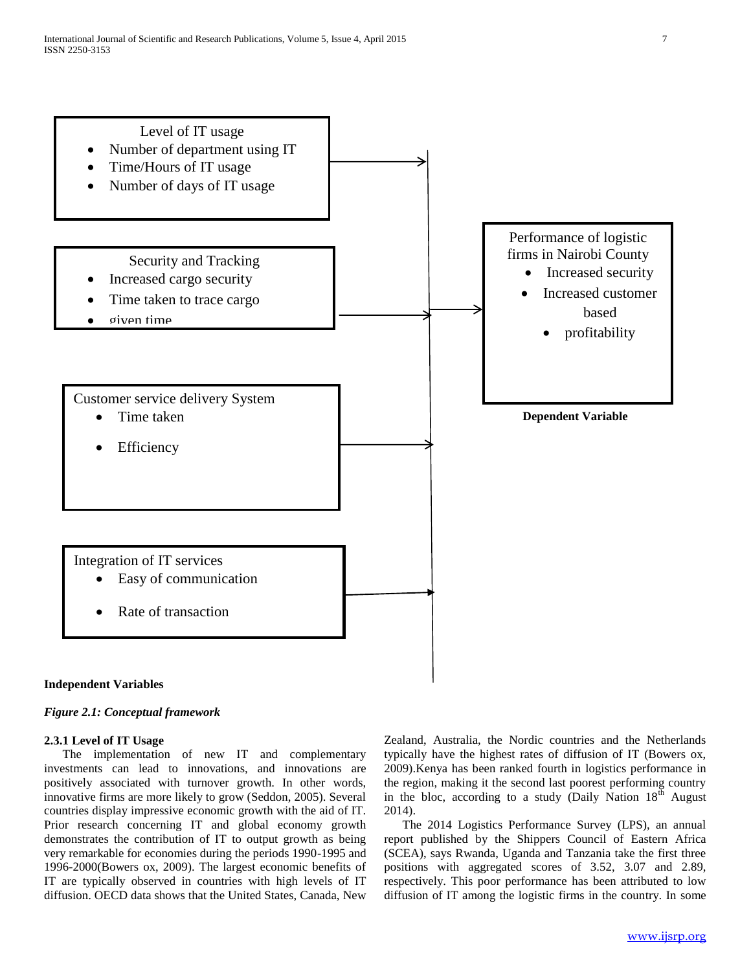

#### **Independent Variables**

#### *Figure 2.1: Conceptual framework*

#### **2.3.1 Level of IT Usage**

 The implementation of new IT and complementary investments can lead to innovations, and innovations are positively associated with turnover growth. In other words, innovative firms are more likely to grow (Seddon, 2005). Several countries display impressive economic growth with the aid of IT. Prior research concerning IT and global economy growth demonstrates the contribution of IT to output growth as being very remarkable for economies during the periods 1990-1995 and 1996-2000(Bowers ox, 2009). The largest economic benefits of IT are typically observed in countries with high levels of IT diffusion. OECD data shows that the United States, Canada, New

Zealand, Australia, the Nordic countries and the Netherlands typically have the highest rates of diffusion of IT (Bowers ox, 2009).Kenya has been ranked fourth in logistics performance in the region, making it the second last poorest performing country in the bloc, according to a study (Daily Nation  $18<sup>th</sup>$  August 2014).

 The 2014 Logistics Performance Survey (LPS), an annual report published by the Shippers Council of Eastern Africa (SCEA), says Rwanda, Uganda and Tanzania take the first three positions with aggregated scores of 3.52, 3.07 and 2.89, respectively. This poor performance has been attributed to low diffusion of IT among the logistic firms in the country. In some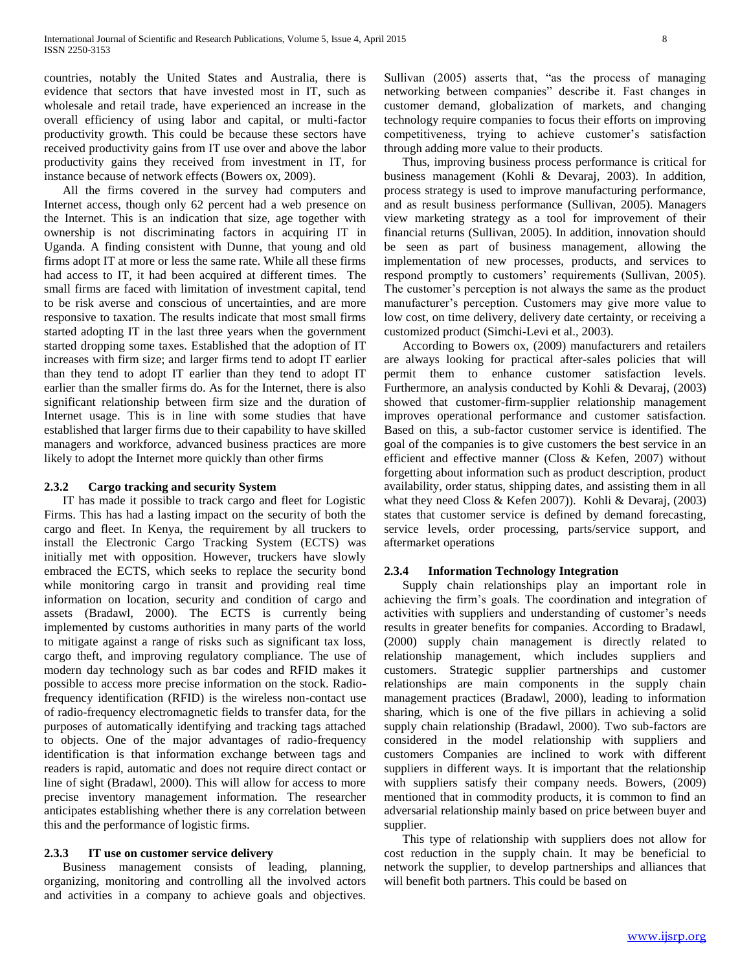countries, notably the United States and Australia, there is evidence that sectors that have invested most in IT, such as wholesale and retail trade, have experienced an increase in the overall efficiency of using labor and capital, or multi-factor productivity growth. This could be because these sectors have received productivity gains from IT use over and above the labor productivity gains they received from investment in IT, for instance because of network effects (Bowers ox, 2009).

 All the firms covered in the survey had computers and Internet access, though only 62 percent had a web presence on the Internet. This is an indication that size, age together with ownership is not discriminating factors in acquiring IT in Uganda. A finding consistent with Dunne, that young and old firms adopt IT at more or less the same rate. While all these firms had access to IT, it had been acquired at different times. The small firms are faced with limitation of investment capital, tend to be risk averse and conscious of uncertainties, and are more responsive to taxation. The results indicate that most small firms started adopting IT in the last three years when the government started dropping some taxes. Established that the adoption of IT increases with firm size; and larger firms tend to adopt IT earlier than they tend to adopt IT earlier than they tend to adopt IT earlier than the smaller firms do. As for the Internet, there is also significant relationship between firm size and the duration of Internet usage. This is in line with some studies that have established that larger firms due to their capability to have skilled managers and workforce, advanced business practices are more likely to adopt the Internet more quickly than other firms

#### **2.3.2 Cargo tracking and security System**

 IT has made it possible to track cargo and fleet for Logistic Firms. This has had a lasting impact on the security of both the cargo and fleet. In Kenya, the requirement by all truckers to install the Electronic Cargo Tracking System (ECTS) was initially met with opposition. However, truckers have slowly embraced the ECTS, which seeks to replace the security bond while monitoring cargo in transit and providing real time information on location, security and condition of cargo and assets (Bradawl, 2000). The ECTS is currently being implemented by customs authorities in many parts of the world to mitigate against a range of risks such as significant tax loss, cargo theft, and improving regulatory compliance. The use of modern day technology such as bar codes and RFID makes it possible to access more precise information on the stock. Radiofrequency identification (RFID) is the wireless non-contact use of radio-frequency electromagnetic fields to transfer data, for the purposes of automatically identifying and tracking tags attached to objects. One of the major advantages of radio-frequency identification is that information exchange between tags and readers is rapid, automatic and does not require direct contact or line of sight (Bradawl, 2000). This will allow for access to more precise inventory management information. The researcher anticipates establishing whether there is any correlation between this and the performance of logistic firms.

#### **2.3.3 IT use on customer service delivery**

 Business management consists of leading, planning, organizing, monitoring and controlling all the involved actors and activities in a company to achieve goals and objectives.

Sullivan (2005) asserts that, "as the process of managing networking between companies" describe it. Fast changes in customer demand, globalization of markets, and changing technology require companies to focus their efforts on improving competitiveness, trying to achieve customer's satisfaction through adding more value to their products.

 Thus, improving business process performance is critical for business management (Kohli & Devaraj, 2003). In addition, process strategy is used to improve manufacturing performance, and as result business performance (Sullivan, 2005). Managers view marketing strategy as a tool for improvement of their financial returns (Sullivan, 2005). In addition, innovation should be seen as part of business management, allowing the implementation of new processes, products, and services to respond promptly to customers' requirements (Sullivan, 2005). The customer's perception is not always the same as the product manufacturer's perception. Customers may give more value to low cost, on time delivery, delivery date certainty, or receiving a customized product (Simchi-Levi et al., 2003).

 According to Bowers ox, (2009) manufacturers and retailers are always looking for practical after-sales policies that will permit them to enhance customer satisfaction levels. Furthermore, an analysis conducted by Kohli & Devaraj, (2003) showed that customer-firm-supplier relationship management improves operational performance and customer satisfaction. Based on this, a sub-factor customer service is identified. The goal of the companies is to give customers the best service in an efficient and effective manner (Closs & Kefen, 2007) without forgetting about information such as product description, product availability, order status, shipping dates, and assisting them in all what they need Closs & Kefen 2007)). Kohli & Devaraj, (2003) states that customer service is defined by demand forecasting, service levels, order processing, parts/service support, and aftermarket operations

#### **2.3.4 Information Technology Integration**

 Supply chain relationships play an important role in achieving the firm's goals. The coordination and integration of activities with suppliers and understanding of customer's needs results in greater benefits for companies. According to Bradawl, (2000) supply chain management is directly related to relationship management, which includes suppliers and customers. Strategic supplier partnerships and customer relationships are main components in the supply chain management practices (Bradawl, 2000), leading to information sharing, which is one of the five pillars in achieving a solid supply chain relationship (Bradawl, 2000). Two sub-factors are considered in the model relationship with suppliers and customers Companies are inclined to work with different suppliers in different ways. It is important that the relationship with suppliers satisfy their company needs. Bowers, (2009) mentioned that in commodity products, it is common to find an adversarial relationship mainly based on price between buyer and supplier.

 This type of relationship with suppliers does not allow for cost reduction in the supply chain. It may be beneficial to network the supplier, to develop partnerships and alliances that will benefit both partners. This could be based on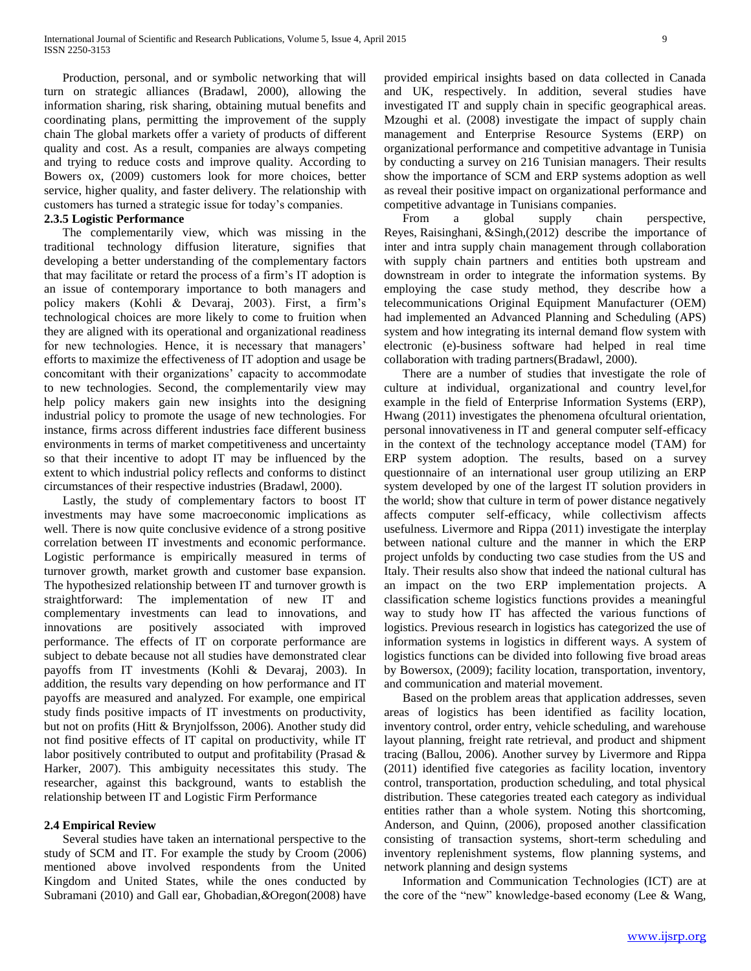Production, personal, and or symbolic networking that will turn on strategic alliances (Bradawl, 2000), allowing the information sharing, risk sharing, obtaining mutual benefits and coordinating plans, permitting the improvement of the supply chain The global markets offer a variety of products of different quality and cost. As a result, companies are always competing and trying to reduce costs and improve quality. According to Bowers ox, (2009) customers look for more choices, better service, higher quality, and faster delivery. The relationship with customers has turned a strategic issue for today's companies.

#### **2.3.5 Logistic Performance**

 The complementarily view, which was missing in the traditional technology diffusion literature, signifies that developing a better understanding of the complementary factors that may facilitate or retard the process of a firm's IT adoption is an issue of contemporary importance to both managers and policy makers (Kohli & Devaraj, 2003). First, a firm's technological choices are more likely to come to fruition when they are aligned with its operational and organizational readiness for new technologies. Hence, it is necessary that managers' efforts to maximize the effectiveness of IT adoption and usage be concomitant with their organizations' capacity to accommodate to new technologies. Second, the complementarily view may help policy makers gain new insights into the designing industrial policy to promote the usage of new technologies. For instance, firms across different industries face different business environments in terms of market competitiveness and uncertainty so that their incentive to adopt IT may be influenced by the extent to which industrial policy reflects and conforms to distinct circumstances of their respective industries (Bradawl, 2000).

 Lastly, the study of complementary factors to boost IT investments may have some macroeconomic implications as well. There is now quite conclusive evidence of a strong positive correlation between IT investments and economic performance. Logistic performance is empirically measured in terms of turnover growth, market growth and customer base expansion. The hypothesized relationship between IT and turnover growth is straightforward: The implementation of new IT and complementary investments can lead to innovations, and innovations are positively associated with improved performance. The effects of IT on corporate performance are subject to debate because not all studies have demonstrated clear payoffs from IT investments (Kohli & Devaraj, 2003). In addition, the results vary depending on how performance and IT payoffs are measured and analyzed. For example, one empirical study finds positive impacts of IT investments on productivity, but not on profits (Hitt & Brynjolfsson, 2006). Another study did not find positive effects of IT capital on productivity, while IT labor positively contributed to output and profitability (Prasad & Harker, 2007). This ambiguity necessitates this study. The researcher, against this background, wants to establish the relationship between IT and Logistic Firm Performance

# **2.4 Empirical Review**

 Several studies have taken an international perspective to the study of SCM and IT. For example the study by Croom (2006) mentioned above involved respondents from the United Kingdom and United States, while the ones conducted by Subramani (2010) and Gall ear, Ghobadian*,&*Oregon(2008) have provided empirical insights based on data collected in Canada and UK, respectively. In addition, several studies have investigated IT and supply chain in specific geographical areas. Mzoughi et al. (2008) investigate the impact of supply chain management and Enterprise Resource Systems (ERP) on organizational performance and competitive advantage in Tunisia by conducting a survey on 216 Tunisian managers. Their results show the importance of SCM and ERP systems adoption as well as reveal their positive impact on organizational performance and competitive advantage in Tunisians companies.

From a global supply chain perspective, Reyes, Raisinghani, &Singh,(2012) describe the importance of inter and intra supply chain management through collaboration with supply chain partners and entities both upstream and downstream in order to integrate the information systems. By employing the case study method, they describe how a telecommunications Original Equipment Manufacturer (OEM) had implemented an Advanced Planning and Scheduling (APS) system and how integrating its internal demand flow system with electronic (e)-business software had helped in real time collaboration with trading partners(Bradawl, 2000).

 There are a number of studies that investigate the role of culture at individual, organizational and country level,for example in the field of Enterprise Information Systems (ERP), Hwang (2011) investigates the phenomena ofcultural orientation, personal innovativeness in IT and general computer self-efficacy in the context of the technology acceptance model (TAM) for ERP system adoption. The results, based on a survey questionnaire of an international user group utilizing an ERP system developed by one of the largest IT solution providers in the world; show that culture in term of power distance negatively affects computer self-efficacy, while collectivism affects usefulness*.* Livermore and Rippa (2011) investigate the interplay between national culture and the manner in which the ERP project unfolds by conducting two case studies from the US and Italy. Their results also show that indeed the national cultural has an impact on the two ERP implementation projects. A classification scheme logistics functions provides a meaningful way to study how IT has affected the various functions of logistics. Previous research in logistics has categorized the use of information systems in logistics in different ways. A system of logistics functions can be divided into following five broad areas by Bowersox, (2009); facility location, transportation, inventory, and communication and material movement.

 Based on the problem areas that application addresses, seven areas of logistics has been identified as facility location, inventory control, order entry, vehicle scheduling, and warehouse layout planning, freight rate retrieval, and product and shipment tracing (Ballou, 2006). Another survey by Livermore and Rippa (2011) identified five categories as facility location, inventory control, transportation, production scheduling, and total physical distribution. These categories treated each category as individual entities rather than a whole system. Noting this shortcoming, Anderson, and Quinn, (2006), proposed another classification consisting of transaction systems, short-term scheduling and inventory replenishment systems, flow planning systems, and network planning and design systems

 Information and Communication Technologies (ICT) are at the core of the "new" knowledge-based economy (Lee & Wang,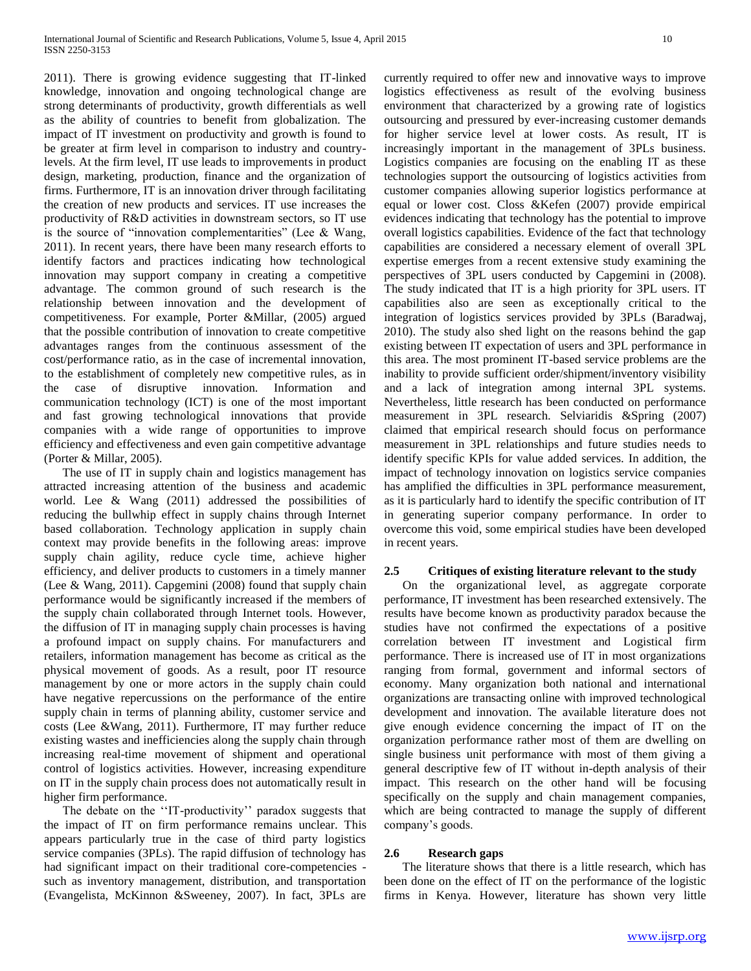2011). There is growing evidence suggesting that IT-linked knowledge, innovation and ongoing technological change are strong determinants of productivity, growth differentials as well as the ability of countries to benefit from globalization. The impact of IT investment on productivity and growth is found to be greater at firm level in comparison to industry and countrylevels. At the firm level, IT use leads to improvements in product design, marketing, production, finance and the organization of firms. Furthermore, IT is an innovation driver through facilitating the creation of new products and services. IT use increases the productivity of R&D activities in downstream sectors, so IT use is the source of "innovation complementarities" (Lee & Wang, 2011). In recent years, there have been many research efforts to identify factors and practices indicating how technological innovation may support company in creating a competitive advantage. The common ground of such research is the relationship between innovation and the development of competitiveness. For example, Porter &Millar, (2005) argued that the possible contribution of innovation to create competitive advantages ranges from the continuous assessment of the cost/performance ratio, as in the case of incremental innovation, to the establishment of completely new competitive rules, as in the case of disruptive innovation. Information and communication technology (ICT) is one of the most important and fast growing technological innovations that provide companies with a wide range of opportunities to improve efficiency and effectiveness and even gain competitive advantage (Porter & Millar, 2005).

 The use of IT in supply chain and logistics management has attracted increasing attention of the business and academic world. Lee & Wang (2011) addressed the possibilities of reducing the bullwhip effect in supply chains through Internet based collaboration. Technology application in supply chain context may provide benefits in the following areas: improve supply chain agility, reduce cycle time, achieve higher efficiency, and deliver products to customers in a timely manner (Lee & Wang, 2011). Capgemini (2008) found that supply chain performance would be significantly increased if the members of the supply chain collaborated through Internet tools. However, the diffusion of IT in managing supply chain processes is having a profound impact on supply chains. For manufacturers and retailers, information management has become as critical as the physical movement of goods. As a result, poor IT resource management by one or more actors in the supply chain could have negative repercussions on the performance of the entire supply chain in terms of planning ability, customer service and costs (Lee &Wang, 2011). Furthermore, IT may further reduce existing wastes and inefficiencies along the supply chain through increasing real-time movement of shipment and operational control of logistics activities. However, increasing expenditure on IT in the supply chain process does not automatically result in higher firm performance.

 The debate on the ''IT-productivity'' paradox suggests that the impact of IT on firm performance remains unclear. This appears particularly true in the case of third party logistics service companies (3PLs). The rapid diffusion of technology has had significant impact on their traditional core-competencies such as inventory management, distribution, and transportation (Evangelista, McKinnon &Sweeney, 2007). In fact, 3PLs are

currently required to offer new and innovative ways to improve logistics effectiveness as result of the evolving business environment that characterized by a growing rate of logistics outsourcing and pressured by ever-increasing customer demands for higher service level at lower costs. As result, IT is increasingly important in the management of 3PLs business. Logistics companies are focusing on the enabling IT as these technologies support the outsourcing of logistics activities from customer companies allowing superior logistics performance at equal or lower cost. Closs &Kefen (2007) provide empirical evidences indicating that technology has the potential to improve overall logistics capabilities. Evidence of the fact that technology capabilities are considered a necessary element of overall 3PL expertise emerges from a recent extensive study examining the perspectives of 3PL users conducted by Capgemini in (2008). The study indicated that IT is a high priority for 3PL users. IT capabilities also are seen as exceptionally critical to the integration of logistics services provided by 3PLs (Baradwaj, 2010). The study also shed light on the reasons behind the gap existing between IT expectation of users and 3PL performance in this area. The most prominent IT-based service problems are the inability to provide sufficient order/shipment/inventory visibility and a lack of integration among internal 3PL systems. Nevertheless, little research has been conducted on performance measurement in 3PL research. Selviaridis &Spring (2007) claimed that empirical research should focus on performance measurement in 3PL relationships and future studies needs to identify specific KPIs for value added services. In addition, the impact of technology innovation on logistics service companies has amplified the difficulties in 3PL performance measurement, as it is particularly hard to identify the specific contribution of IT in generating superior company performance. In order to overcome this void, some empirical studies have been developed in recent years.

#### **2.5 Critiques of existing literature relevant to the study**

 On the organizational level, as aggregate corporate performance, IT investment has been researched extensively. The results have become known as productivity paradox because the studies have not confirmed the expectations of a positive correlation between IT investment and Logistical firm performance. There is increased use of IT in most organizations ranging from formal, government and informal sectors of economy. Many organization both national and international organizations are transacting online with improved technological development and innovation. The available literature does not give enough evidence concerning the impact of IT on the organization performance rather most of them are dwelling on single business unit performance with most of them giving a general descriptive few of IT without in-depth analysis of their impact. This research on the other hand will be focusing specifically on the supply and chain management companies, which are being contracted to manage the supply of different company's goods.

#### **2.6 Research gaps**

 The literature shows that there is a little research, which has been done on the effect of IT on the performance of the logistic firms in Kenya. However, literature has shown very little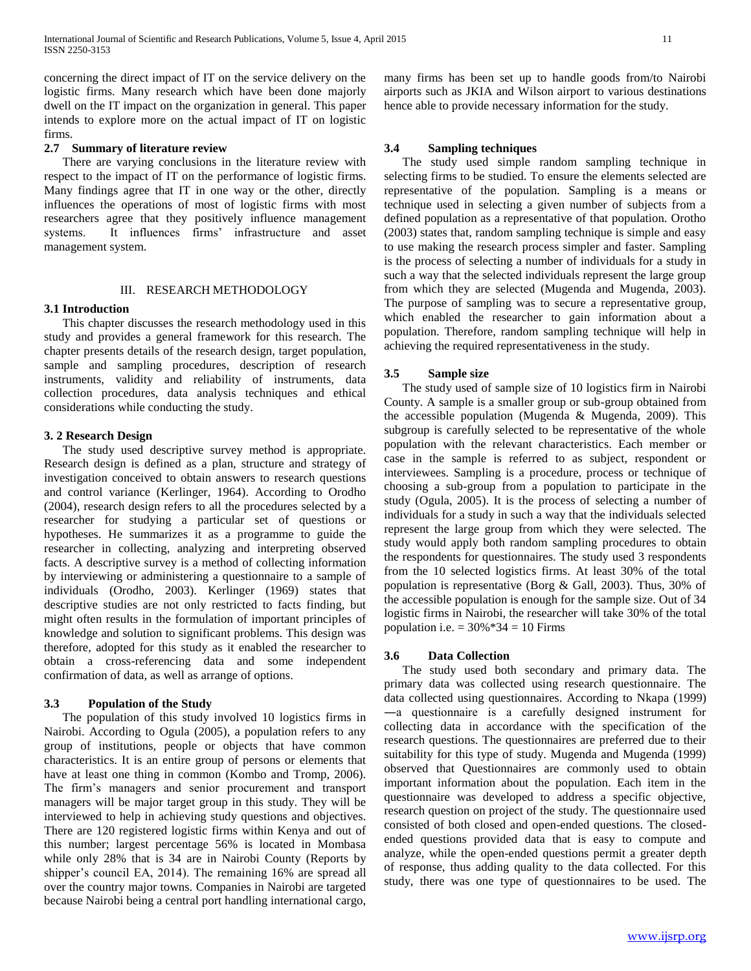concerning the direct impact of IT on the service delivery on the logistic firms. Many research which have been done majorly dwell on the IT impact on the organization in general. This paper intends to explore more on the actual impact of IT on logistic firms.

#### **2.7 Summary of literature review**

 There are varying conclusions in the literature review with respect to the impact of IT on the performance of logistic firms. Many findings agree that IT in one way or the other, directly influences the operations of most of logistic firms with most researchers agree that they positively influence management systems. It influences firms' infrastructure and asset management system.

#### III. RESEARCH METHODOLOGY

#### **3.1 Introduction**

 This chapter discusses the research methodology used in this study and provides a general framework for this research. The chapter presents details of the research design, target population, sample and sampling procedures, description of research instruments, validity and reliability of instruments, data collection procedures, data analysis techniques and ethical considerations while conducting the study.

#### **3. 2 Research Design**

 The study used descriptive survey method is appropriate. Research design is defined as a plan, structure and strategy of investigation conceived to obtain answers to research questions and control variance (Kerlinger, 1964). According to Orodho (2004), research design refers to all the procedures selected by a researcher for studying a particular set of questions or hypotheses. He summarizes it as a programme to guide the researcher in collecting, analyzing and interpreting observed facts. A descriptive survey is a method of collecting information by interviewing or administering a questionnaire to a sample of individuals (Orodho, 2003). Kerlinger (1969) states that descriptive studies are not only restricted to facts finding, but might often results in the formulation of important principles of knowledge and solution to significant problems. This design was therefore, adopted for this study as it enabled the researcher to obtain a cross-referencing data and some independent confirmation of data, as well as arrange of options.

#### **3.3 Population of the Study**

 The population of this study involved 10 logistics firms in Nairobi. According to Ogula (2005), a population refers to any group of institutions, people or objects that have common characteristics. It is an entire group of persons or elements that have at least one thing in common (Kombo and Tromp, 2006). The firm's managers and senior procurement and transport managers will be major target group in this study. They will be interviewed to help in achieving study questions and objectives. There are 120 registered logistic firms within Kenya and out of this number; largest percentage 56% is located in Mombasa while only 28% that is 34 are in Nairobi County (Reports by shipper's council EA, 2014). The remaining 16% are spread all over the country major towns. Companies in Nairobi are targeted because Nairobi being a central port handling international cargo,

many firms has been set up to handle goods from/to Nairobi airports such as JKIA and Wilson airport to various destinations hence able to provide necessary information for the study.

#### **3.4 Sampling techniques**

 The study used simple random sampling technique in selecting firms to be studied. To ensure the elements selected are representative of the population. Sampling is a means or technique used in selecting a given number of subjects from a defined population as a representative of that population. Orotho (2003) states that, random sampling technique is simple and easy to use making the research process simpler and faster. Sampling is the process of selecting a number of individuals for a study in such a way that the selected individuals represent the large group from which they are selected (Mugenda and Mugenda, 2003). The purpose of sampling was to secure a representative group, which enabled the researcher to gain information about a population. Therefore, random sampling technique will help in achieving the required representativeness in the study.

#### **3.5 Sample size**

 The study used of sample size of 10 logistics firm in Nairobi County. A sample is a smaller group or sub-group obtained from the accessible population (Mugenda & Mugenda, 2009). This subgroup is carefully selected to be representative of the whole population with the relevant characteristics. Each member or case in the sample is referred to as subject, respondent or interviewees. Sampling is a procedure, process or technique of choosing a sub-group from a population to participate in the study (Ogula, 2005). It is the process of selecting a number of individuals for a study in such a way that the individuals selected represent the large group from which they were selected. The study would apply both random sampling procedures to obtain the respondents for questionnaires. The study used 3 respondents from the 10 selected logistics firms. At least 30% of the total population is representative (Borg & Gall, 2003). Thus, 30% of the accessible population is enough for the sample size. Out of 34 logistic firms in Nairobi, the researcher will take 30% of the total population i.e.  $= 30\% * 34 = 10$  Firms

#### **3.6 Data Collection**

 The study used both secondary and primary data. The primary data was collected using research questionnaire. The data collected using questionnaires. According to Nkapa (1999) ―a questionnaire is a carefully designed instrument for collecting data in accordance with the specification of the research questions. The questionnaires are preferred due to their suitability for this type of study. Mugenda and Mugenda (1999) observed that Questionnaires are commonly used to obtain important information about the population. Each item in the questionnaire was developed to address a specific objective, research question on project of the study. The questionnaire used consisted of both closed and open-ended questions. The closedended questions provided data that is easy to compute and analyze, while the open-ended questions permit a greater depth of response, thus adding quality to the data collected. For this study, there was one type of questionnaires to be used. The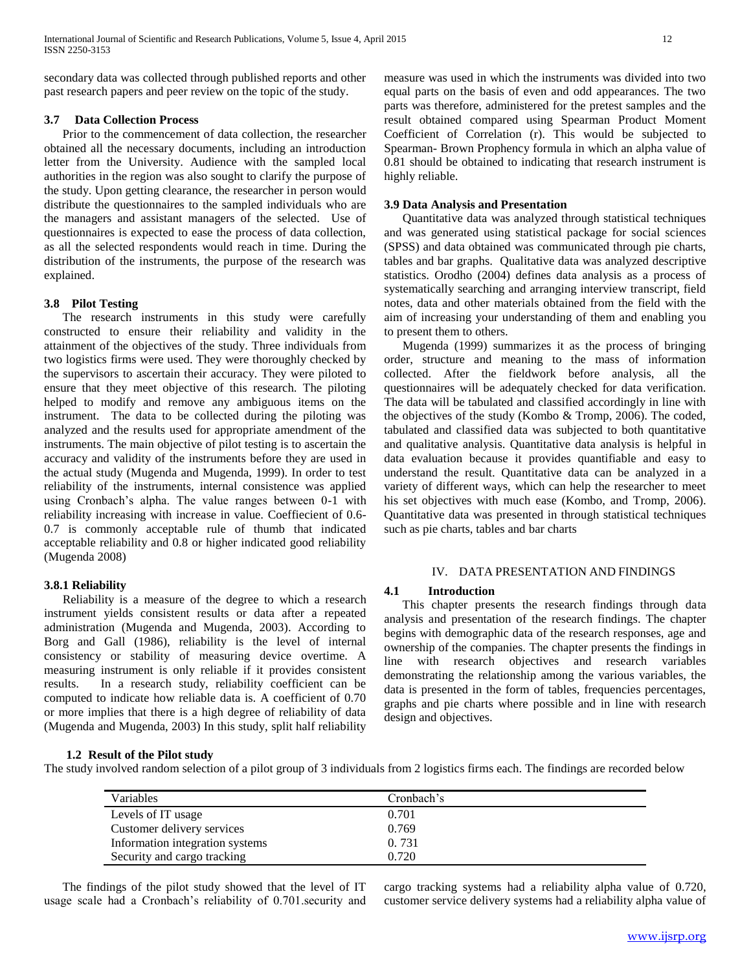secondary data was collected through published reports and other past research papers and peer review on the topic of the study.

#### **3.7 Data Collection Process**

 Prior to the commencement of data collection, the researcher obtained all the necessary documents, including an introduction letter from the University. Audience with the sampled local authorities in the region was also sought to clarify the purpose of the study. Upon getting clearance, the researcher in person would distribute the questionnaires to the sampled individuals who are the managers and assistant managers of the selected. Use of questionnaires is expected to ease the process of data collection, as all the selected respondents would reach in time. During the distribution of the instruments, the purpose of the research was explained.

## **3.8 Pilot Testing**

 The research instruments in this study were carefully constructed to ensure their reliability and validity in the attainment of the objectives of the study. Three individuals from two logistics firms were used. They were thoroughly checked by the supervisors to ascertain their accuracy. They were piloted to ensure that they meet objective of this research. The piloting helped to modify and remove any ambiguous items on the instrument. The data to be collected during the piloting was analyzed and the results used for appropriate amendment of the instruments. The main objective of pilot testing is to ascertain the accuracy and validity of the instruments before they are used in the actual study (Mugenda and Mugenda, 1999). In order to test reliability of the instruments, internal consistence was applied using Cronbach's alpha. The value ranges between 0-1 with reliability increasing with increase in value. Coeffiecient of 0.6- 0.7 is commonly acceptable rule of thumb that indicated acceptable reliability and 0.8 or higher indicated good reliability (Mugenda 2008)

#### **3.8.1 Reliability**

 Reliability is a measure of the degree to which a research instrument yields consistent results or data after a repeated administration (Mugenda and Mugenda, 2003). According to Borg and Gall (1986), reliability is the level of internal consistency or stability of measuring device overtime. A measuring instrument is only reliable if it provides consistent results. In a research study, reliability coefficient can be computed to indicate how reliable data is. A coefficient of 0.70 or more implies that there is a high degree of reliability of data (Mugenda and Mugenda, 2003) In this study, split half reliability

measure was used in which the instruments was divided into two equal parts on the basis of even and odd appearances. The two parts was therefore, administered for the pretest samples and the result obtained compared using Spearman Product Moment Coefficient of Correlation (r). This would be subjected to Spearman- Brown Prophency formula in which an alpha value of 0.81 should be obtained to indicating that research instrument is highly reliable.

#### **3.9 Data Analysis and Presentation**

 Quantitative data was analyzed through statistical techniques and was generated using statistical package for social sciences (SPSS) and data obtained was communicated through pie charts, tables and bar graphs. Qualitative data was analyzed descriptive statistics. Orodho (2004) defines data analysis as a process of systematically searching and arranging interview transcript, field notes, data and other materials obtained from the field with the aim of increasing your understanding of them and enabling you to present them to others.

 Mugenda (1999) summarizes it as the process of bringing order, structure and meaning to the mass of information collected. After the fieldwork before analysis, all the questionnaires will be adequately checked for data verification. The data will be tabulated and classified accordingly in line with the objectives of the study (Kombo & Tromp, 2006). The coded, tabulated and classified data was subjected to both quantitative and qualitative analysis. Quantitative data analysis is helpful in data evaluation because it provides quantifiable and easy to understand the result. Quantitative data can be analyzed in a variety of different ways, which can help the researcher to meet his set objectives with much ease (Kombo, and Tromp, 2006). Quantitative data was presented in through statistical techniques such as pie charts, tables and bar charts

#### IV. DATA PRESENTATION AND FINDINGS

#### **4.1 Introduction**

 This chapter presents the research findings through data analysis and presentation of the research findings. The chapter begins with demographic data of the research responses, age and ownership of the companies. The chapter presents the findings in line with research objectives and research variables demonstrating the relationship among the various variables, the data is presented in the form of tables, frequencies percentages, graphs and pie charts where possible and in line with research design and objectives.

## **1.2 Result of the Pilot study**

The study involved random selection of a pilot group of 3 individuals from 2 logistics firms each. The findings are recorded below

| <b>Variables</b>                | Cronbach's |
|---------------------------------|------------|
| Levels of IT usage              | 0.701      |
| Customer delivery services      | 0.769      |
| Information integration systems | 0.731      |
| Security and cargo tracking     | 0.720      |

 The findings of the pilot study showed that the level of IT usage scale had a Cronbach's reliability of 0.701.security and cargo tracking systems had a reliability alpha value of 0.720, customer service delivery systems had a reliability alpha value of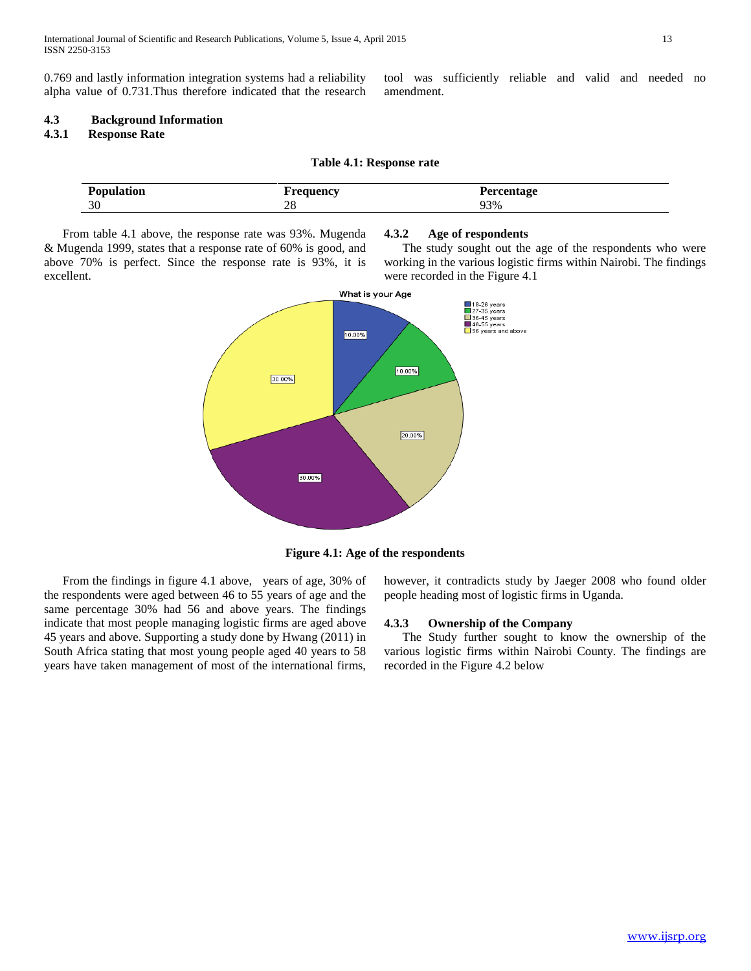0.769 and lastly information integration systems had a reliability alpha value of 0.731.Thus therefore indicated that the research tool was sufficiently reliable and valid and needed no amendment.

# **4.3 Background Information**

# **4.3.1 Response Rate**

| Table 4.1: Response rate |  |  |
|--------------------------|--|--|
|--------------------------|--|--|

| Population | <u>ouionov</u> | 'ercentage<br>o |
|------------|----------------|-----------------|
| 30         | nκ<br>40       | 93%             |

 From table 4.1 above, the response rate was 93%. Mugenda & Mugenda 1999, states that a response rate of 60% is good, and above 70% is perfect. Since the response rate is 93%, it is excellent.

#### **4.3.2 Age of respondents**

 The study sought out the age of the respondents who were working in the various logistic firms within Nairobi. The findings were recorded in the Figure 4.1





 From the findings in figure 4.1 above, years of age, 30% of the respondents were aged between 46 to 55 years of age and the same percentage 30% had 56 and above years. The findings indicate that most people managing logistic firms are aged above 45 years and above. Supporting a study done by Hwang (2011) in South Africa stating that most young people aged 40 years to 58 years have taken management of most of the international firms,

however, it contradicts study by Jaeger 2008 who found older people heading most of logistic firms in Uganda.

#### **4.3.3 Ownership of the Company**

 The Study further sought to know the ownership of the various logistic firms within Nairobi County. The findings are recorded in the Figure 4.2 below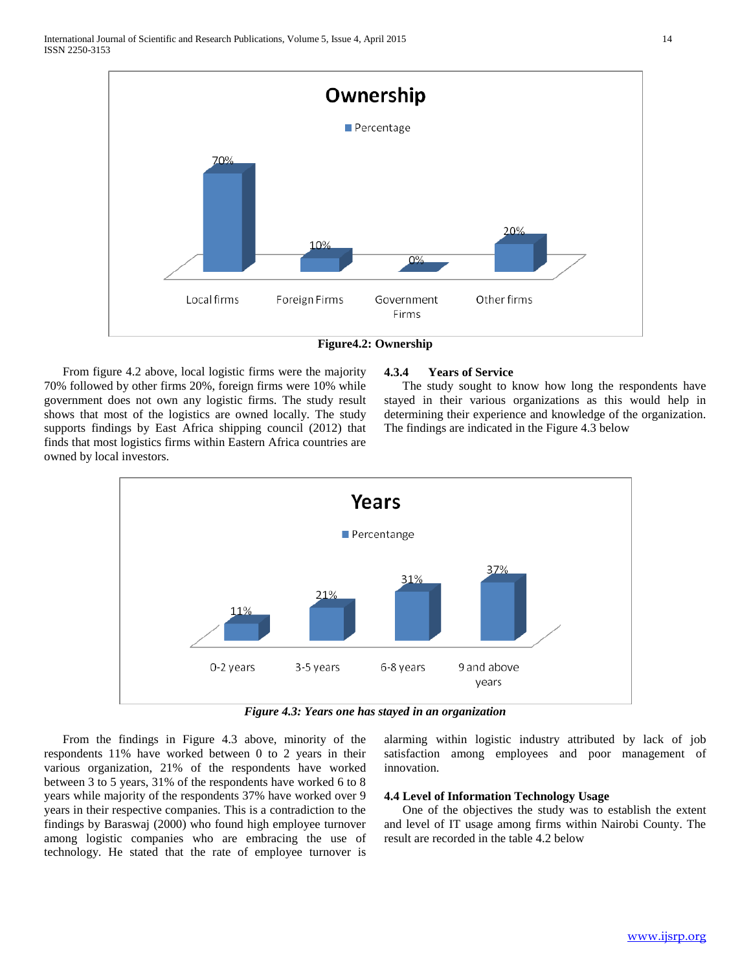

**Figure4.2: Ownership**

 From figure 4.2 above, local logistic firms were the majority 70% followed by other firms 20%, foreign firms were 10% while government does not own any logistic firms. The study result shows that most of the logistics are owned locally. The study supports findings by East Africa shipping council (2012) that finds that most logistics firms within Eastern Africa countries are owned by local investors.

#### **4.3.4 Years of Service**

 The study sought to know how long the respondents have stayed in their various organizations as this would help in determining their experience and knowledge of the organization. The findings are indicated in the Figure 4.3 below



*Figure 4.3: Years one has stayed in an organization*

 From the findings in Figure 4.3 above, minority of the respondents 11% have worked between 0 to 2 years in their various organization, 21% of the respondents have worked between 3 to 5 years, 31% of the respondents have worked 6 to 8 years while majority of the respondents 37% have worked over 9 years in their respective companies. This is a contradiction to the findings by Baraswaj (2000) who found high employee turnover among logistic companies who are embracing the use of technology. He stated that the rate of employee turnover is

alarming within logistic industry attributed by lack of job satisfaction among employees and poor management of innovation.

#### **4.4 Level of Information Technology Usage**

 One of the objectives the study was to establish the extent and level of IT usage among firms within Nairobi County. The result are recorded in the table 4.2 below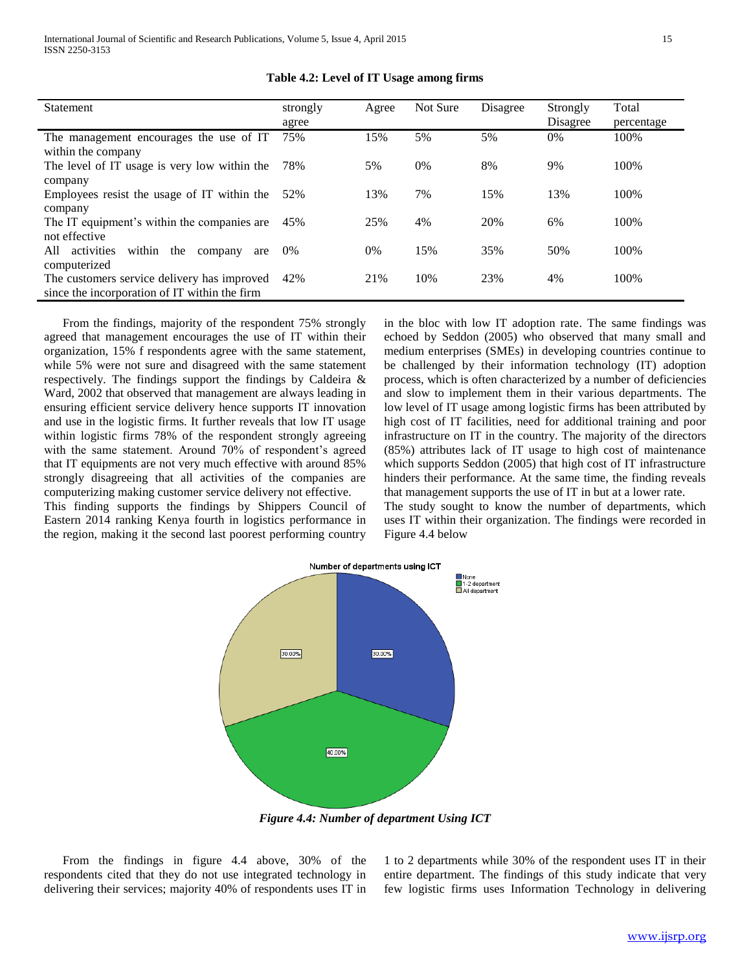| Statement                                            | strongly<br>agree | Agree | Not Sure | Disagree | Strongly<br>Disagree | Total<br>percentage |
|------------------------------------------------------|-------------------|-------|----------|----------|----------------------|---------------------|
| The management encourages the use of IT              | 75%               | 15%   | 5%       | 5%       | 0%                   | 100%                |
| within the company                                   |                   |       |          |          |                      |                     |
| The level of IT usage is very low within the         | 78%               | 5%    | 0%       | 8%       | 9%                   | 100%                |
| company                                              |                   |       |          |          |                      |                     |
| Employees resist the usage of IT within the          | 52%               | 13%   | 7%       | 15%      | 13%                  | 100%                |
| company                                              |                   |       |          |          |                      |                     |
| The IT equipment's within the companies are          | 45%               | 25%   | 4%       | 20%      | 6%                   | 100%                |
| not effective                                        |                   |       |          |          |                      |                     |
| activities<br>within<br>the<br>All<br>company<br>are | 0%                | $0\%$ | 15%      | 35%      | 50%                  | 100%                |
| computerized                                         |                   |       |          |          |                      |                     |
| The customers service delivery has improved          | 42%               | 21%   | 10%      | 23%      | 4%                   | 100%                |
| since the incorporation of IT within the firm        |                   |       |          |          |                      |                     |

**Table 4.2: Level of IT Usage among firms**

 From the findings, majority of the respondent 75% strongly agreed that management encourages the use of IT within their organization, 15% f respondents agree with the same statement, while 5% were not sure and disagreed with the same statement respectively. The findings support the findings by Caldeira & Ward, 2002 that observed that management are always leading in ensuring efficient service delivery hence supports IT innovation and use in the logistic firms. It further reveals that low IT usage within logistic firms 78% of the respondent strongly agreeing with the same statement. Around 70% of respondent's agreed that IT equipments are not very much effective with around 85% strongly disagreeing that all activities of the companies are computerizing making customer service delivery not effective.

This finding supports the findings by Shippers Council of Eastern 2014 ranking Kenya fourth in logistics performance in the region, making it the second last poorest performing country

in the bloc with low IT adoption rate. The same findings was echoed by Seddon (2005) who observed that many small and medium enterprises (SMEs) in developing countries continue to be challenged by their information technology (IT) adoption process, which is often characterized by a number of deficiencies and slow to implement them in their various departments. The low level of IT usage among logistic firms has been attributed by high cost of IT facilities, need for additional training and poor infrastructure on IT in the country. The majority of the directors (85%) attributes lack of IT usage to high cost of maintenance which supports Seddon (2005) that high cost of IT infrastructure hinders their performance. At the same time, the finding reveals that management supports the use of IT in but at a lower rate.

The study sought to know the number of departments, which uses IT within their organization. The findings were recorded in Figure 4.4 below



*Figure 4.4: Number of department Using ICT*

 From the findings in figure 4.4 above, 30% of the respondents cited that they do not use integrated technology in delivering their services; majority 40% of respondents uses IT in

1 to 2 departments while 30% of the respondent uses IT in their entire department. The findings of this study indicate that very few logistic firms uses Information Technology in delivering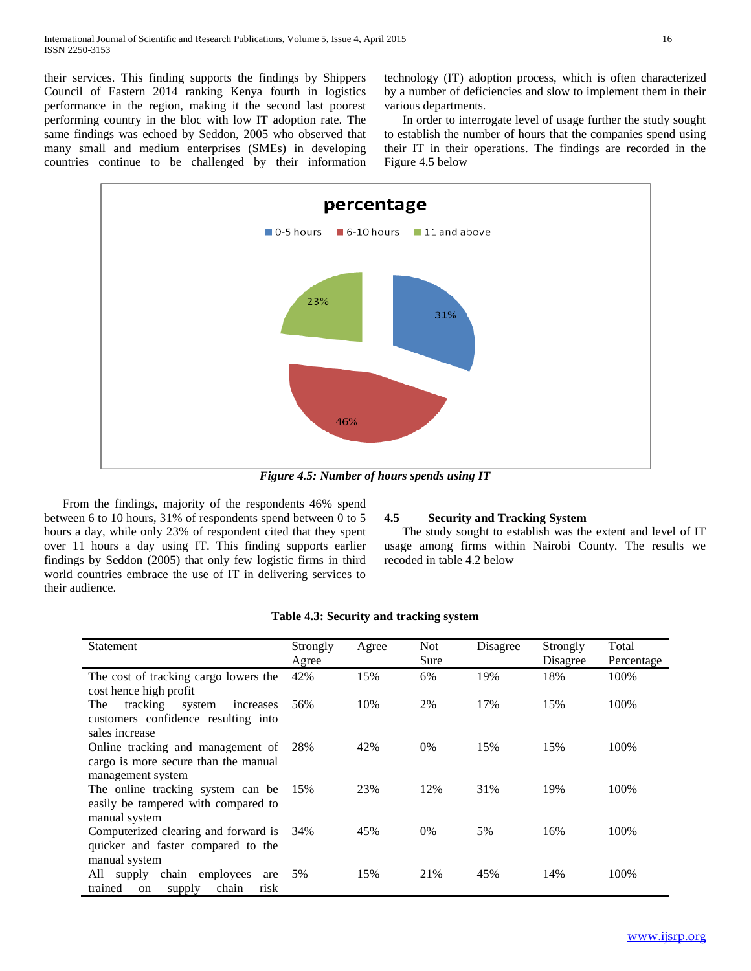their services. This finding supports the findings by Shippers Council of Eastern 2014 ranking Kenya fourth in logistics performance in the region, making it the second last poorest performing country in the bloc with low IT adoption rate. The same findings was echoed by Seddon, 2005 who observed that many small and medium enterprises (SMEs) in developing countries continue to be challenged by their information technology (IT) adoption process, which is often characterized by a number of deficiencies and slow to implement them in their various departments.

 In order to interrogate level of usage further the study sought to establish the number of hours that the companies spend using their IT in their operations. The findings are recorded in the Figure 4.5 below



*Figure 4.5: Number of hours spends using IT*

 From the findings, majority of the respondents 46% spend between 6 to 10 hours, 31% of respondents spend between 0 to 5 hours a day, while only 23% of respondent cited that they spent over 11 hours a day using IT. This finding supports earlier findings by Seddon (2005) that only few logistic firms in third world countries embrace the use of IT in delivering services to their audience.

### **4.5 Security and Tracking System**

 The study sought to establish was the extent and level of IT usage among firms within Nairobi County. The results we recoded in table 4.2 below

| Statement                                                                                       | Strongly | Agree | <b>Not</b> | Disagree | Strongly | Total      |
|-------------------------------------------------------------------------------------------------|----------|-------|------------|----------|----------|------------|
|                                                                                                 | Agree    |       | Sure       |          | Disagree | Percentage |
| The cost of tracking cargo lowers the<br>cost hence high profit                                 | 42%      | 15%   | 6%         | 19%      | 18%      | 100%       |
| tracking<br>The<br>system<br>increases<br>customers confidence resulting into<br>sales increase | 56%      | 10%   | 2%         | 17%      | 15%      | 100%       |
| Online tracking and management of<br>cargo is more secure than the manual<br>management system  | 28%      | 42%   | $0\%$      | 15%      | 15%      | 100%       |
| The online tracking system can be<br>easily be tampered with compared to<br>manual system       | 15%      | 23%   | 12%        | 31%      | 19%      | 100\%      |
| Computerized clearing and forward is<br>quicker and faster compared to the<br>manual system     | 34%      | 45%   | $0\%$      | 5%       | 16%      | 100\%      |
| All supply chain employees<br>are<br>chain<br>trained<br>risk<br>on<br>supply                   | 5%       | 15%   | 21%        | 45%      | 14%      | 100%       |

#### **Table 4.3: Security and tracking system**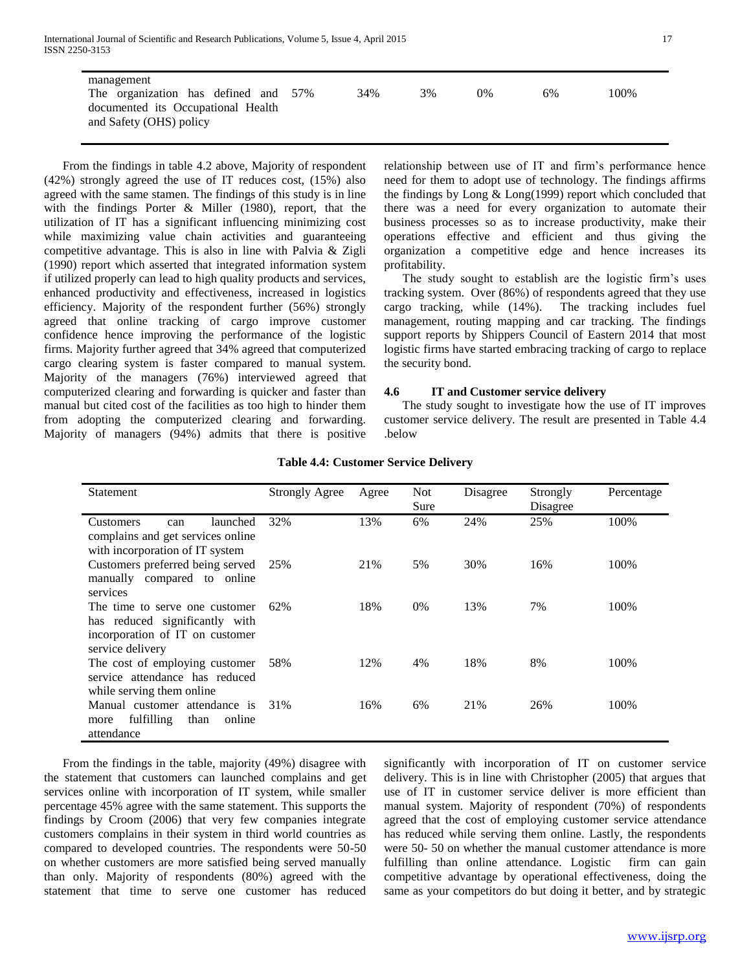International Journal of Scientific and Research Publications, Volume 5, Issue 4, April 2015 17 ISSN 2250-3153

| management<br>The organization has defined and 57%<br>documented its Occupational Health<br>and Safety (OHS) policy | 34% | 3% | $0\%$ | 6% | 100% |
|---------------------------------------------------------------------------------------------------------------------|-----|----|-------|----|------|

 From the findings in table 4.2 above, Majority of respondent (42%) strongly agreed the use of IT reduces cost, (15%) also agreed with the same stamen. The findings of this study is in line with the findings Porter & Miller (1980), report, that the utilization of IT has a significant influencing minimizing cost while maximizing value chain activities and guaranteeing competitive advantage. This is also in line with Palvia & Zigli (1990) report which asserted that integrated information system if utilized properly can lead to high quality products and services, enhanced productivity and effectiveness, increased in logistics efficiency. Majority of the respondent further (56%) strongly agreed that online tracking of cargo improve customer confidence hence improving the performance of the logistic firms. Majority further agreed that 34% agreed that computerized cargo clearing system is faster compared to manual system. Majority of the managers (76%) interviewed agreed that computerized clearing and forwarding is quicker and faster than manual but cited cost of the facilities as too high to hinder them from adopting the computerized clearing and forwarding. Majority of managers (94%) admits that there is positive

relationship between use of IT and firm's performance hence need for them to adopt use of technology. The findings affirms the findings by Long & Long(1999) report which concluded that there was a need for every organization to automate their business processes so as to increase productivity, make their operations effective and efficient and thus giving the organization a competitive edge and hence increases its profitability.

 The study sought to establish are the logistic firm's uses tracking system. Over (86%) of respondents agreed that they use cargo tracking, while (14%). The tracking includes fuel management, routing mapping and car tracking. The findings support reports by Shippers Council of Eastern 2014 that most logistic firms have started embracing tracking of cargo to replace the security bond.

#### **4.6 IT and Customer service delivery**

 The study sought to investigate how the use of IT improves customer service delivery. The result are presented in Table 4.4 .below

| Agree | <b>Not</b>                   | Disagree | Strongly | Percentage      |
|-------|------------------------------|----------|----------|-----------------|
|       |                              |          |          |                 |
|       | 6%                           |          |          | 100%            |
|       |                              |          |          |                 |
|       |                              |          |          |                 |
| 21%   | 5%                           | 30%      | 16%      | 100%            |
|       |                              |          |          |                 |
|       |                              |          |          |                 |
| 18%   | 0%                           | 13%      | 7%       | 100%            |
|       |                              |          |          |                 |
|       |                              |          |          |                 |
|       |                              |          |          |                 |
| 12%   | 4%                           | 18%      | 8%       | 100%            |
|       |                              |          |          |                 |
|       |                              |          |          |                 |
| 16%   | 6%                           | 21%      | 26%      | 100%            |
|       |                              |          |          |                 |
|       |                              |          |          |                 |
|       | <b>Strongly Agree</b><br>13% | Sure     | 24%      | Disagree<br>25% |

#### **Table 4.4: Customer Service Delivery**

 From the findings in the table, majority (49%) disagree with the statement that customers can launched complains and get services online with incorporation of IT system, while smaller percentage 45% agree with the same statement. This supports the findings by Croom (2006) that very few companies integrate customers complains in their system in third world countries as compared to developed countries. The respondents were 50-50 on whether customers are more satisfied being served manually than only. Majority of respondents (80%) agreed with the statement that time to serve one customer has reduced

significantly with incorporation of IT on customer service delivery. This is in line with Christopher (2005) that argues that use of IT in customer service deliver is more efficient than manual system. Majority of respondent (70%) of respondents agreed that the cost of employing customer service attendance has reduced while serving them online. Lastly, the respondents were 50- 50 on whether the manual customer attendance is more fulfilling than online attendance. Logistic firm can gain competitive advantage by operational effectiveness, doing the same as your competitors do but doing it better, and by strategic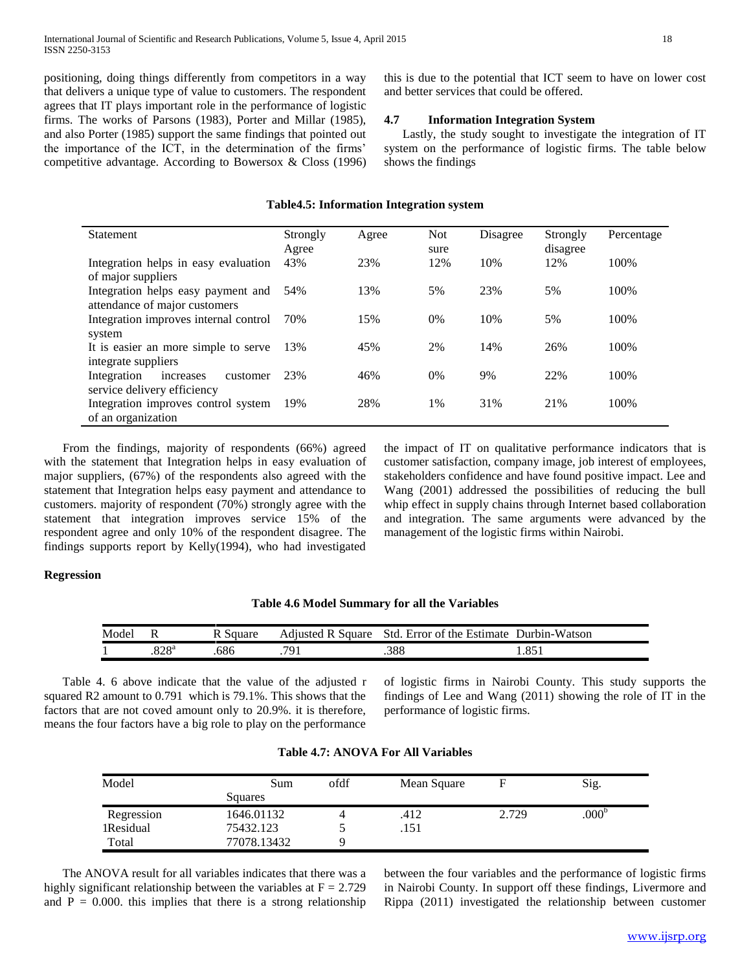positioning, doing things differently from competitors in a way that delivers a unique type of value to customers. The respondent agrees that IT plays important role in the performance of logistic firms. The works of Parsons (1983), Porter and Millar (1985), and also Porter (1985) support the same findings that pointed out the importance of the ICT, in the determination of the firms' competitive advantage. According to Bowersox & Closs (1996) this is due to the potential that ICT seem to have on lower cost and better services that could be offered.

#### **4.7 Information Integration System**

 Lastly, the study sought to investigate the integration of IT system on the performance of logistic firms. The table below shows the findings

#### **Table4.5: Information Integration system**

| <b>Statement</b>                                                    | Strongly<br>Agree | Agree | <b>Not</b><br>sure | Disagree | Strongly<br>disagree | Percentage |
|---------------------------------------------------------------------|-------------------|-------|--------------------|----------|----------------------|------------|
| Integration helps in easy evaluation<br>of major suppliers          | 43%               | 23%   | 12%                | 10%      | 12%                  | 100%       |
| Integration helps easy payment and<br>attendance of major customers | 54%               | 13%   | 5%                 | 23%      | 5%                   | 100%       |
| Integration improves internal control<br>system                     | 70%               | 15%   | $0\%$              | 10%      | 5%                   | 100%       |
| It is easier an more simple to serve<br>integrate suppliers         | 13%               | 45%   | 2%                 | 14%      | 26%                  | 100%       |
| Integration<br>customer<br>increases<br>service delivery efficiency | 23%               | 46%   | 0%                 | 9%       | 22%                  | 100%       |
| Integration improves control system<br>of an organization           | 19%               | 28%   | 1%                 | 31%      | 21%                  | 100%       |

 From the findings, majority of respondents (66%) agreed with the statement that Integration helps in easy evaluation of major suppliers, (67%) of the respondents also agreed with the statement that Integration helps easy payment and attendance to customers. majority of respondent (70%) strongly agree with the statement that integration improves service 15% of the respondent agree and only 10% of the respondent disagree. The findings supports report by Kelly(1994), who had investigated

the impact of IT on qualitative performance indicators that is customer satisfaction, company image, job interest of employees, stakeholders confidence and have found positive impact. Lee and Wang (2001) addressed the possibilities of reducing the bull whip effect in supply chains through Internet based collaboration and integration. The same arguments were advanced by the management of the logistic firms within Nairobi.

#### **Regression**

| Table 4.6 Model Summary for all the Variables |  |  |  |
|-----------------------------------------------|--|--|--|
|-----------------------------------------------|--|--|--|

| Model |             | Square | Square<br>Ad1usted<br>ĸ | Std.<br>Error of the Estimate | Durbin-Watson   |
|-------|-------------|--------|-------------------------|-------------------------------|-----------------|
|       | onoa<br>040 | .686   | 791                     | .388                          | $OE^2$<br>1.091 |

 Table 4. 6 above indicate that the value of the adjusted r squared R2 amount to 0.791 which is 79.1%. This shows that the factors that are not coved amount only to 20.9%. it is therefore, means the four factors have a big role to play on the performance

of logistic firms in Nairobi County. This study supports the findings of Lee and Wang (2011) showing the role of IT in the performance of logistic firms.

| Model      | Sum         | ofdf | Mean Square |       | Sig.              |
|------------|-------------|------|-------------|-------|-------------------|
|            | Squares     |      |             |       |                   |
| Regression | 1646.01132  |      | .412        | 2.729 | .000 <sup>b</sup> |
| 1Residual  | 75432.123   |      | .151        |       |                   |
| Total      | 77078.13432 |      |             |       |                   |

#### **Table 4.7: ANOVA For All Variables**

 The ANOVA result for all variables indicates that there was a highly significant relationship between the variables at  $F = 2.729$ and  $P = 0.000$ . this implies that there is a strong relationship between the four variables and the performance of logistic firms in Nairobi County. In support off these findings, Livermore and Rippa (2011) investigated the relationship between customer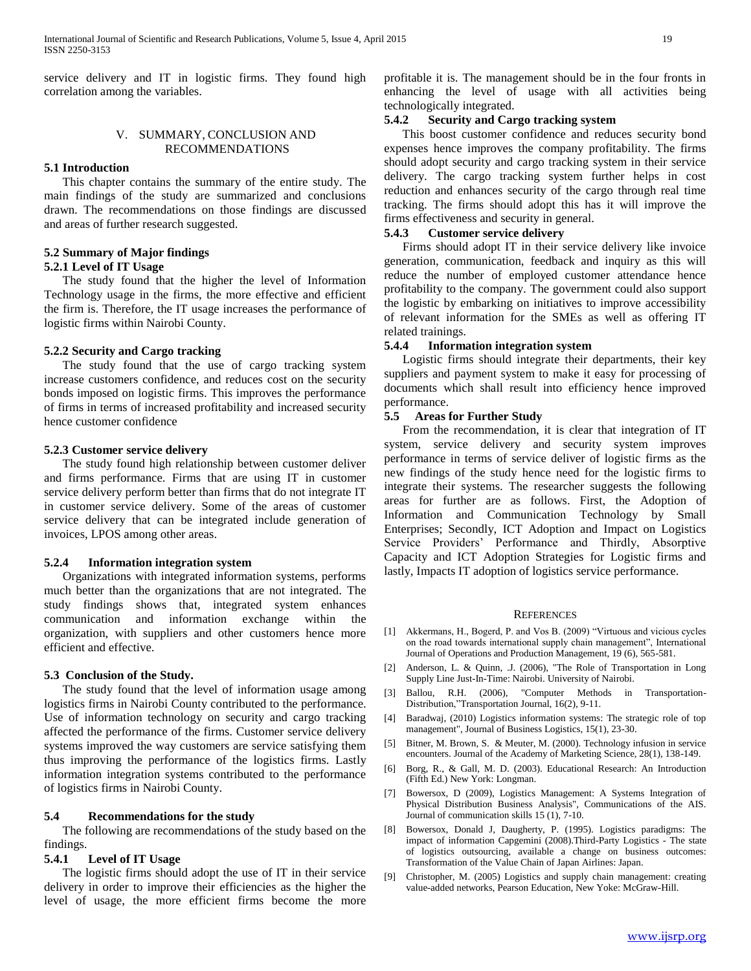service delivery and IT in logistic firms. They found high correlation among the variables.

#### V. SUMMARY, CONCLUSION AND RECOMMENDATIONS

#### **5.1 Introduction**

 This chapter contains the summary of the entire study. The main findings of the study are summarized and conclusions drawn. The recommendations on those findings are discussed and areas of further research suggested.

#### **5.2 Summary of Major findings**

#### **5.2.1 Level of IT Usage**

 The study found that the higher the level of Information Technology usage in the firms, the more effective and efficient the firm is. Therefore, the IT usage increases the performance of logistic firms within Nairobi County.

#### **5.2.2 Security and Cargo tracking**

 The study found that the use of cargo tracking system increase customers confidence, and reduces cost on the security bonds imposed on logistic firms. This improves the performance of firms in terms of increased profitability and increased security hence customer confidence

#### **5.2.3 Customer service delivery**

 The study found high relationship between customer deliver and firms performance. Firms that are using IT in customer service delivery perform better than firms that do not integrate IT in customer service delivery. Some of the areas of customer service delivery that can be integrated include generation of invoices, LPOS among other areas.

#### **5.2.4 Information integration system**

 Organizations with integrated information systems, performs much better than the organizations that are not integrated. The study findings shows that, integrated system enhances communication and information exchange within the organization, with suppliers and other customers hence more efficient and effective.

#### **5.3 Conclusion of the Study.**

 The study found that the level of information usage among logistics firms in Nairobi County contributed to the performance. Use of information technology on security and cargo tracking affected the performance of the firms. Customer service delivery systems improved the way customers are service satisfying them thus improving the performance of the logistics firms. Lastly information integration systems contributed to the performance of logistics firms in Nairobi County.

#### **5.4 Recommendations for the study**

 The following are recommendations of the study based on the findings.

#### **5.4.1 Level of IT Usage**

 The logistic firms should adopt the use of IT in their service delivery in order to improve their efficiencies as the higher the level of usage, the more efficient firms become the more

profitable it is. The management should be in the four fronts in enhancing the level of usage with all activities being technologically integrated.

# **5.4.2 Security and Cargo tracking system**

 This boost customer confidence and reduces security bond expenses hence improves the company profitability. The firms should adopt security and cargo tracking system in their service delivery. The cargo tracking system further helps in cost reduction and enhances security of the cargo through real time tracking. The firms should adopt this has it will improve the firms effectiveness and security in general.

#### **5.4.3 Customer service delivery**

 Firms should adopt IT in their service delivery like invoice generation, communication, feedback and inquiry as this will reduce the number of employed customer attendance hence profitability to the company. The government could also support the logistic by embarking on initiatives to improve accessibility of relevant information for the SMEs as well as offering IT related trainings.

#### **5.4.4 Information integration system**

 Logistic firms should integrate their departments, their key suppliers and payment system to make it easy for processing of documents which shall result into efficiency hence improved performance.

#### **5.5 Areas for Further Study**

 From the recommendation, it is clear that integration of IT system, service delivery and security system improves performance in terms of service deliver of logistic firms as the new findings of the study hence need for the logistic firms to integrate their systems. The researcher suggests the following areas for further are as follows. First, the Adoption of Information and Communication Technology by Small Enterprises; Secondly, ICT Adoption and Impact on Logistics Service Providers' Performance and Thirdly, Absorptive Capacity and ICT Adoption Strategies for Logistic firms and lastly, Impacts IT adoption of logistics service performance.

#### **REFERENCES**

- [1] Akkermans, H., Bogerd, P. and Vos B. (2009) "Virtuous and vicious cycles on the road towards international supply chain management", International Journal of Operations and Production Management, 19 (6), 565-581.
- [2] Anderson, L. & Quinn, .J. (2006), "The Role of Transportation in Long Supply Line Just-In-Time: Nairobi. University of Nairobi.
- [3] Ballou, R.H. (2006), "Computer Methods in Transportation-Distribution,"Transportation Journal, 16(2), 9-11.
- [4] Baradwaj, (2010) Logistics information systems: The strategic role of top management", Journal of Business Logistics, 15(1), 23-30.
- [5] Bitner, M. Brown, S. & Meuter, M. (2000). Technology infusion in service encounters. Journal of the Academy of Marketing Science, 28(1), 138-149.
- [6] Borg, R., & Gall, M. D. (2003). Educational Research: An Introduction (Fifth Ed.) New York: Longman.
- [7] Bowersox, D (2009), Logistics Management: A Systems Integration of Physical Distribution Business Analysis", Communications of the AIS. Journal of communication skills 15 (1), 7-10.
- [8] Bowersox, Donald J, Daugherty, P. (1995). Logistics paradigms: The impact of information Capgemini (2008).Third-Party Logistics - The state of logistics outsourcing, available a change on business outcomes: Transformation of the Value Chain of Japan Airlines: Japan.
- Christopher, M. (2005) Logistics and supply chain management: creating value-added networks, Pearson Education, New Yoke: McGraw-Hill.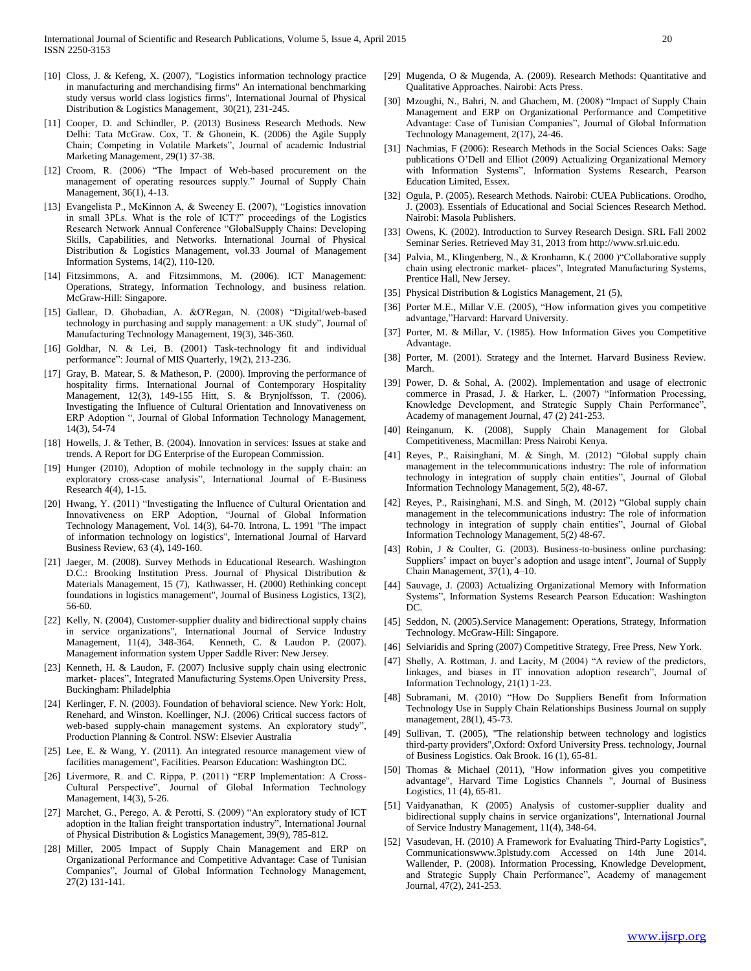- [10] Closs, J. & Kefeng, X. (2007), "Logistics information technology practice in manufacturing and merchandising firms" An international benchmarking study versus world class logistics firms", International Journal of Physical Distribution & Logistics Management, 30(21), 231-245.
- [11] Cooper, D. and Schindler, P. (2013) Business Research Methods. New Delhi: Tata McGraw. Cox, T. & Ghonein, K. (2006) the Agile Supply Chain; Competing in Volatile Markets", Journal of academic Industrial Marketing Management, 29(1) 37-38.
- [12] Croom, R. (2006) "The Impact of Web-based procurement on the management of operating resources supply." Journal of Supply Chain Management, 36(1), 4-13.
- [13] Evangelista P., McKinnon A, & Sweeney E. (2007), "Logistics innovation in small 3PLs. What is the role of ICT?" proceedings of the Logistics Research Network Annual Conference "GlobalSupply Chains: Developing Skills, Capabilities, and Networks. International Journal of Physical Distribution & Logistics Management, vol.33 Journal of Management Information Systems, 14(2), 110-120.
- [14] Fitzsimmons, A. and Fitzsimmons, M. (2006). ICT Management: Operations, Strategy, Information Technology, and business relation. McGraw-Hill: Singapore.
- [15] Gallear, D. Ghobadian, A. &O'Regan, N. (2008) "Digital/web-based technology in purchasing and supply management: a UK study", Journal of Manufacturing Technology Management, 19(3), 346-360.
- [16] Goldhar, N. & Lei, B. (2001) Task-technology fit and individual performance": Journal of MIS Quarterly, 19(2), 213-236.
- [17] Gray, B. Matear, S. & Matheson, P. (2000). Improving the performance of hospitality firms. International Journal of Contemporary Hospitality Management, 12(3), 149-155 Hitt, S. & Brynjolfsson, T. (2006). Investigating the Influence of Cultural Orientation and Innovativeness on ERP Adoption ", Journal of Global Information Technology Management, 14(3), 54-74
- [18] Howells, J. & Tether, B. (2004). Innovation in services: Issues at stake and trends. A Report for DG Enterprise of the European Commission.
- [19] Hunger (2010), Adoption of mobile technology in the supply chain: an exploratory cross-case analysis", International Journal of E-Business Research 4(4), 1-15.
- [20] Hwang, Y. (2011) "Investigating the Influence of Cultural Orientation and Innovativeness on ERP Adoption, "Journal of Global Information Technology Management, Vol. 14(3), 64-70. Introna, L. 1991 "The impact of information technology on logistics", International Journal of Harvard Business Review, 63 (4), 149-160.
- [21] Jaeger, M. (2008). Survey Methods in Educational Research. Washington D.C.: Brooking Institution Press. Journal of Physical Distribution & Materials Management, 15 (7), Kathwasser, H. (2000) Rethinking concept foundations in logistics management", Journal of Business Logistics, 13(2), 56-60.
- [22] Kelly, N. (2004), Customer-supplier duality and bidirectional supply chains in service organizations", International Journal of Service Industry Management, 11(4), 348-364. Kenneth, C. & Laudon P. (2007). Management information system Upper Saddle River: New Jersey.
- [23] Kenneth, H. & Laudon, F. (2007) Inclusive supply chain using electronic market- places", Integrated Manufacturing Systems.Open University Press, Buckingham: Philadelphia
- [24] Kerlinger, F. N. (2003). Foundation of behavioral science. New York: Holt, Renehard, and Winston. Koellinger, N.J. (2006) Critical success factors of web-based supply-chain management systems. An exploratory study", Production Planning & Control. NSW: Elsevier Australia
- [25] Lee, E. & Wang, Y. (2011). An integrated resource management view of facilities management", Facilities. Pearson Education: Washington DC.
- [26] Livermore, R. and C. Rippa, P. (2011) "ERP Implementation: A Cross-Cultural Perspective", Journal of Global Information Technology Management, 14(3), 5-26.
- [27] Marchet, G., Perego, A. & Perotti, S. (2009) "An exploratory study of ICT adoption in the Italian freight transportation industry", International Journal of Physical Distribution & Logistics Management, 39(9), 785-812.
- [28] Miller, 2005 Impact of Supply Chain Management and ERP on Organizational Performance and Competitive Advantage: Case of Tunisian Companies", Journal of Global Information Technology Management, 27(2) 131-141.
- [29] Mugenda, O & Mugenda, A. (2009). Research Methods: Quantitative and Qualitative Approaches. Nairobi: Acts Press.
- [30] Mzoughi, N., Bahri, N. and Ghachem, M. (2008) "Impact of Supply Chain Management and ERP on Organizational Performance and Competitive Advantage: Case of Tunisian Companies", Journal of Global Information Technology Management, 2(17), 24-46.
- [31] Nachmias, F (2006): Research Methods in the Social Sciences Oaks: Sage publications O'Dell and Elliot (2009) Actualizing Organizational Memory with Information Systems", Information Systems Research, Pearson Education Limited, Essex.
- [32] Ogula, P. (2005). Research Methods. Nairobi: CUEA Publications. Orodho, J. (2003). Essentials of Educational and Social Sciences Research Method. Nairobi: Masola Publishers.
- [33] Owens, K. (2002). Introduction to Survey Research Design. SRL Fall 2002 Seminar Series. Retrieved May 31, 2013 from http://www.srl.uic.edu.
- [34] Palvia, M., Klingenberg, N., & Kronhamn, K.( 2000 )"Collaborative supply chain using electronic market- places", Integrated Manufacturing Systems, Prentice Hall, New Jersey.
- [35] Physical Distribution & Logistics Management, 21 (5),
- [36] Porter M.E., Millar V.E. (2005), "How information gives you competitive advantage,"Harvard: Harvard University.
- [37] Porter, M. & Millar, V. (1985). How Information Gives you Competitive Advantage.
- [38] Porter, M. (2001). Strategy and the Internet. Harvard Business Review. March.
- [39] Power, D. & Sohal, A. (2002). Implementation and usage of electronic commerce in Prasad, J. & Harker, L. (2007) "Information Processing, Knowledge Development, and Strategic Supply Chain Performance", Academy of management Journal, 47 (2) 241-253.
- [40] Reinganum, K. (2008), Supply Chain Management for Global Competitiveness, Macmillan: Press Nairobi Kenya.
- [41] Reyes, P., Raisinghani, M. & Singh, M. (2012) "Global supply chain management in the telecommunications industry: The role of information technology in integration of supply chain entities", Journal of Global Information Technology Management, 5(2), 48-67.
- [42] Reyes, P., Raisinghani, M.S. and Singh, M. (2012) "Global supply chain management in the telecommunications industry: The role of information technology in integration of supply chain entities", Journal of Global Information Technology Management, 5(2) 48-67.
- [43] Robin, J & Coulter, G. (2003). Business-to-business online purchasing: Suppliers' impact on buyer's adoption and usage intent", Journal of Supply Chain Management, 37(1), 4–10.
- [44] Sauvage, J. (2003) Actualizing Organizational Memory with Information Systems", Information Systems Research Pearson Education: Washington DC.
- [45] Seddon, N. (2005).Service Management: Operations, Strategy, Information Technology. McGraw-Hill: Singapore.
- [46] Selviaridis and Spring (2007) Competitive Strategy, Free Press, New York.
- [47] Shelly, A. Rottman, J. and Lacity, M (2004) "A review of the predictors, linkages, and biases in IT innovation adoption research", Journal of Information Technology, 21(1) 1-23.
- [48] Subramani, M. (2010) "How Do Suppliers Benefit from Information Technology Use in Supply Chain Relationships Business Journal on supply management, 28(1), 45-73.
- [49] Sullivan, T. (2005), "The relationship between technology and logistics third-party providers",Oxford: Oxford University Press. technology, Journal of Business Logistics. Oak Brook. 16 (1), 65-81.
- [50] Thomas & Michael (2011), "How information gives you competitive advantage", Harvard Time Logistics Channels ", Journal of Business Logistics, 11 (4), 65-81.
- [51] Vaidyanathan, K (2005) Analysis of customer-supplier duality and bidirectional supply chains in service organizations", International Journal of Service Industry Management, 11(4), 348-64.
- [52] Vasudevan, H. (2010) A Framework for Evaluating Third-Party Logistics", Communicationswww.3plstudy.com Accessed on 14th June 2014. Wallender, P. (2008). Information Processing, Knowledge Development, and Strategic Supply Chain Performance", Academy of management Journal, 47(2), 241-253.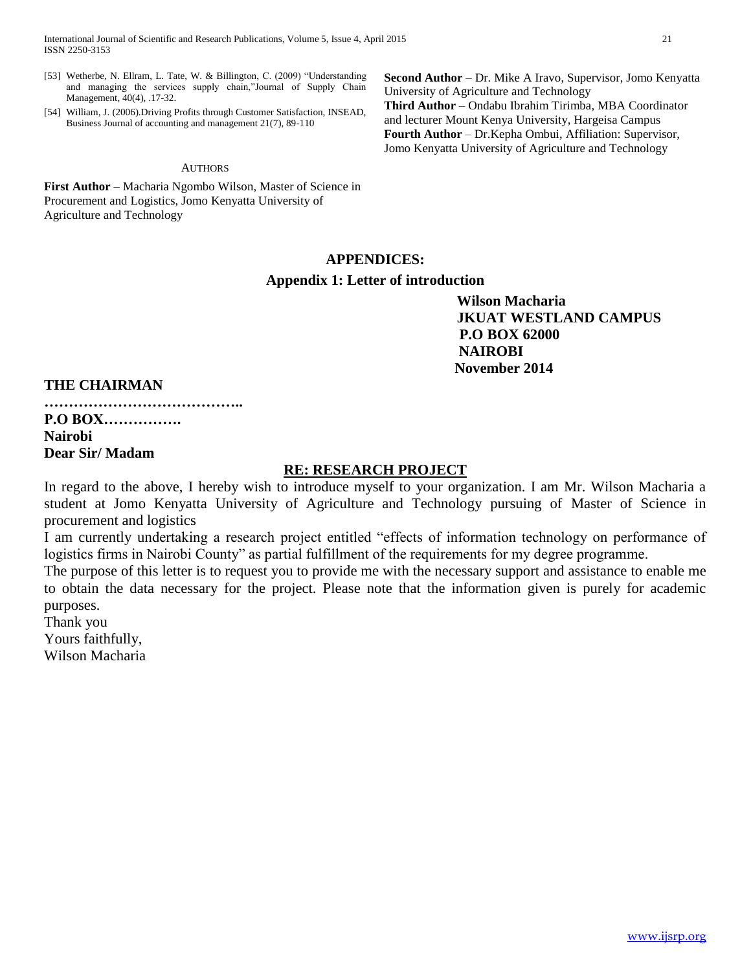International Journal of Scientific and Research Publications, Volume 5, Issue 4, April 2015 21 ISSN 2250-3153

- [53] Wetherbe, N. Ellram, L. Tate, W. & Billington, C. (2009) "Understanding and managing the services supply chain,"Journal of Supply Chain Management, 40(4), .17-32.
- [54] William, J. (2006).Driving Profits through Customer Satisfaction, INSEAD, Business Journal of accounting and management 21(7), 89-110

#### **AUTHORS**

**First Author** – Macharia Ngombo Wilson, Master of Science in Procurement and Logistics, Jomo Kenyatta University of Agriculture and Technology

**Second Author** – Dr. Mike A Iravo, Supervisor, Jomo Kenyatta University of Agriculture and Technology **Third Author** – Ondabu Ibrahim Tirimba, MBA Coordinator and lecturer Mount Kenya University, Hargeisa Campus **Fourth Author** – Dr.Kepha Ombui, Affiliation: Supervisor, Jomo Kenyatta University of Agriculture and Technology

# **APPENDICES:**

# **Appendix 1: Letter of introduction**

 **Wilson Macharia JKUAT WESTLAND CAMPUS P.O BOX 62000 NAIROBI November 2014**

# **THE CHAIRMAN**

**…………………………………..**

# **P.O BOX……………. Nairobi Dear Sir/ Madam**

# **RE: RESEARCH PROJECT**

In regard to the above, I hereby wish to introduce myself to your organization. I am Mr. Wilson Macharia a student at Jomo Kenyatta University of Agriculture and Technology pursuing of Master of Science in procurement and logistics

I am currently undertaking a research project entitled "effects of information technology on performance of logistics firms in Nairobi County" as partial fulfillment of the requirements for my degree programme.

The purpose of this letter is to request you to provide me with the necessary support and assistance to enable me to obtain the data necessary for the project. Please note that the information given is purely for academic purposes.

Thank you Yours faithfully,

Wilson Macharia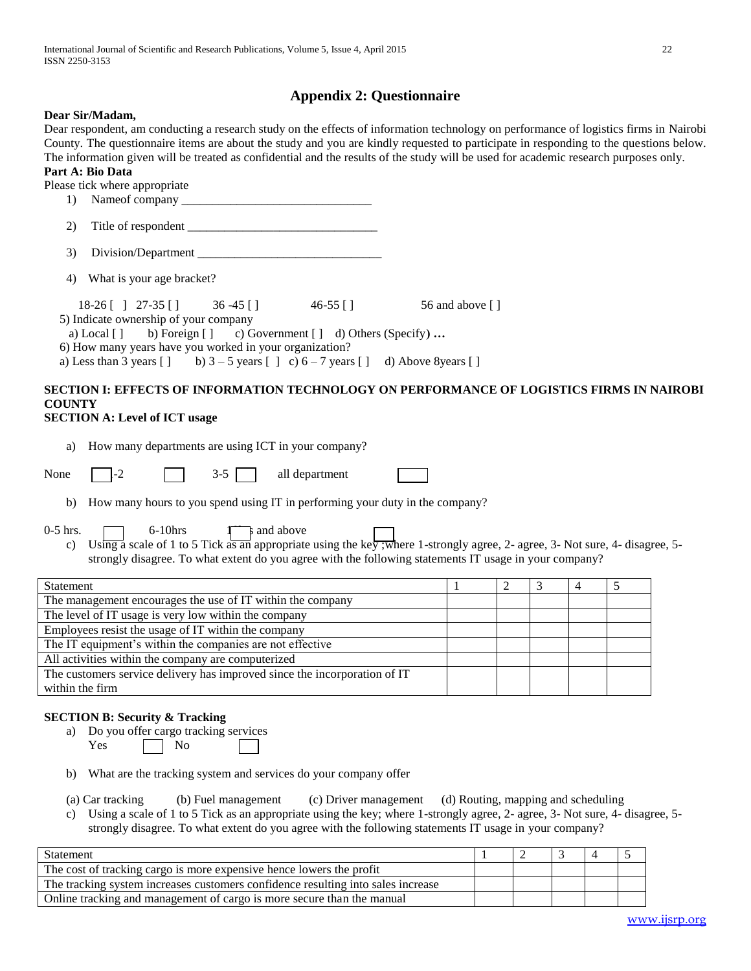# **Appendix 2: Questionnaire**

#### **Dear Sir/Madam,**

Dear respondent, am conducting a research study on the effects of information technology on performance of logistics firms in Nairobi County. The questionnaire items are about the study and you are kindly requested to participate in responding to the questions below. The information given will be treated as confidential and the results of the study will be used for academic research purposes only.

#### **Part A: Bio Data** Please tick where appropriate

| 1) |                                                                                                                                                                                                                                                                                                                                                                                                                                                                                                                                                      |            |                 |
|----|------------------------------------------------------------------------------------------------------------------------------------------------------------------------------------------------------------------------------------------------------------------------------------------------------------------------------------------------------------------------------------------------------------------------------------------------------------------------------------------------------------------------------------------------------|------------|-----------------|
| 2) | Title of respondent                                                                                                                                                                                                                                                                                                                                                                                                                                                                                                                                  |            |                 |
| 3) | Division/Department                                                                                                                                                                                                                                                                                                                                                                                                                                                                                                                                  |            |                 |
|    | 4) What is your age bracket?                                                                                                                                                                                                                                                                                                                                                                                                                                                                                                                         |            |                 |
|    | $18-26$ [ ] $27-35$ [ ] 36 -45 [ ]<br>5) Indicate ownership of your company<br>a) Local $\begin{bmatrix} 1 \\ 0 \end{bmatrix}$ b) Foreign $\begin{bmatrix} 1 \\ 0 \end{bmatrix}$ C) Government $\begin{bmatrix} 1 \\ 0 \end{bmatrix}$ Others (Specify)<br>6) How many years have you worked in your organization?<br>a) Less than 3 years $\begin{bmatrix} 1 \\ 0 \end{bmatrix}$ b) $3 - 5$ years $\begin{bmatrix} 1 \\ 0 \end{bmatrix}$ c) $6 - 7$ years $\begin{bmatrix} 1 \\ 0 \end{bmatrix}$ Above 8years $\begin{bmatrix} 1 \\ 0 \end{bmatrix}$ | $46-55$ [] | 56 and above [] |

# **SECTION I: EFFECTS OF INFORMATION TECHNOLOGY ON PERFORMANCE OF LOGISTICS FIRMS IN NAIROBI COUNTY**

# **SECTION A: Level of ICT usage**

|  | How many departments are using ICT in your company? |  |
|--|-----------------------------------------------------|--|

 $3-5$  all department

b) How many hours to you spend using IT in performing your duty in the company?

0-5 hrs.  $\Box$  6-10 hrs  $\Box$  and above

c) Using a scale of 1 to 5 Tick as an appropriate using the key ;where 1-strongly agree, 2- agree, 3- Not sure, 4- disagree, 5 strongly disagree. To what extent do you agree with the following statements IT usage in your company?

| Statement                                                                 |  |  |  |
|---------------------------------------------------------------------------|--|--|--|
| The management encourages the use of IT within the company                |  |  |  |
| The level of IT usage is very low within the company                      |  |  |  |
| Employees resist the usage of IT within the company                       |  |  |  |
| The IT equipment's within the companies are not effective                 |  |  |  |
| All activities within the company are computerized                        |  |  |  |
| The customers service delivery has improved since the incorporation of IT |  |  |  |
| within the firm                                                           |  |  |  |

# **SECTION B: Security & Tracking**

a) Do you offer cargo tracking services

Yes No

- b) What are the tracking system and services do your company offer
- (a) Car tracking (b) Fuel management (c) Driver management (d) Routing, mapping and scheduling
- c) Using a scale of 1 to 5 Tick as an appropriate using the key; where 1-strongly agree, 2- agree, 3- Not sure, 4- disagree, 5 strongly disagree. To what extent do you agree with the following statements IT usage in your company?

| Statement                                                                        |  |  |  |
|----------------------------------------------------------------------------------|--|--|--|
| The cost of tracking cargo is more expensive hence lowers the profit             |  |  |  |
| The tracking system increases customers confidence resulting into sales increase |  |  |  |
| Online tracking and management of cargo is more secure than the manual           |  |  |  |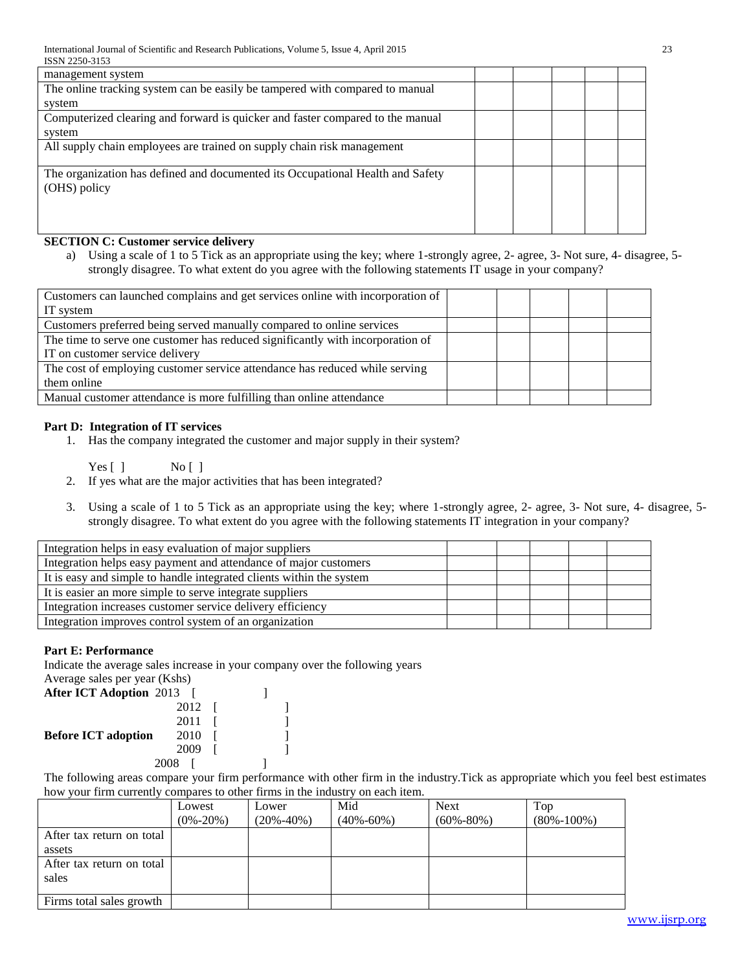| 19911 2290-9199                                                                |  |  |  |
|--------------------------------------------------------------------------------|--|--|--|
| management system                                                              |  |  |  |
| The online tracking system can be easily be tampered with compared to manual   |  |  |  |
| system                                                                         |  |  |  |
| Computerized clearing and forward is quicker and faster compared to the manual |  |  |  |
| system                                                                         |  |  |  |
| All supply chain employees are trained on supply chain risk management         |  |  |  |
|                                                                                |  |  |  |
| The organization has defined and documented its Occupational Health and Safety |  |  |  |
| (OHS) policy                                                                   |  |  |  |
|                                                                                |  |  |  |
|                                                                                |  |  |  |
|                                                                                |  |  |  |

# **SECTION C: Customer service delivery**

a) Using a scale of 1 to 5 Tick as an appropriate using the key; where 1-strongly agree, 2- agree, 3- Not sure, 4- disagree, 5 strongly disagree. To what extent do you agree with the following statements IT usage in your company?

| Customers can launched complains and get services online with incorporation of |  |  |  |
|--------------------------------------------------------------------------------|--|--|--|
| IT system                                                                      |  |  |  |
| Customers preferred being served manually compared to online services          |  |  |  |
| The time to serve one customer has reduced significantly with incorporation of |  |  |  |
| IT on customer service delivery                                                |  |  |  |
| The cost of employing customer service attendance has reduced while serving    |  |  |  |
| them online                                                                    |  |  |  |
| Manual customer attendance is more fulfilling than online attendance           |  |  |  |

# **Part D: Integration of IT services**

1. Has the company integrated the customer and major supply in their system?

Yes [ ] No [ ]

- 2. If yes what are the major activities that has been integrated?
- 3. Using a scale of 1 to 5 Tick as an appropriate using the key; where 1-strongly agree, 2- agree, 3- Not sure, 4- disagree, 5 strongly disagree. To what extent do you agree with the following statements IT integration in your company?

| Integration helps in easy evaluation of major suppliers              |  |  |  |
|----------------------------------------------------------------------|--|--|--|
| Integration helps easy payment and attendance of major customers     |  |  |  |
| It is easy and simple to handle integrated clients within the system |  |  |  |
| It is easier an more simple to serve integrate suppliers             |  |  |  |
| Integration increases customer service delivery efficiency           |  |  |  |
| Integration improves control system of an organization               |  |  |  |

# **Part E: Performance**

Indicate the average sales increase in your company over the following years Average sales per year (Kshs)

| 2012 |                                                                                |  |
|------|--------------------------------------------------------------------------------|--|
| 2011 |                                                                                |  |
| 2010 |                                                                                |  |
| 2009 |                                                                                |  |
|      |                                                                                |  |
|      | $11.01a5c$ sares per year (11.011.0)<br><b>After ICT Adoption 2013</b><br>2008 |  |

The following areas compare your firm performance with other firm in the industry.Tick as appropriate which you feel best estimates how your firm currently compares to other firms in the industry on each item.

|                           | Lowest<br>$(0\% - 20\%)$ | Lower<br>$(20\% - 40\%)$ | Mid<br>$(40\% - 60\%)$ | <b>Next</b><br>$(60\% - 80\%)$ | Top<br>$(80\% - 100\%)$ |
|---------------------------|--------------------------|--------------------------|------------------------|--------------------------------|-------------------------|
| After tax return on total |                          |                          |                        |                                |                         |
| assets                    |                          |                          |                        |                                |                         |
| After tax return on total |                          |                          |                        |                                |                         |
| sales                     |                          |                          |                        |                                |                         |
|                           |                          |                          |                        |                                |                         |
| Firms total sales growth  |                          |                          |                        |                                |                         |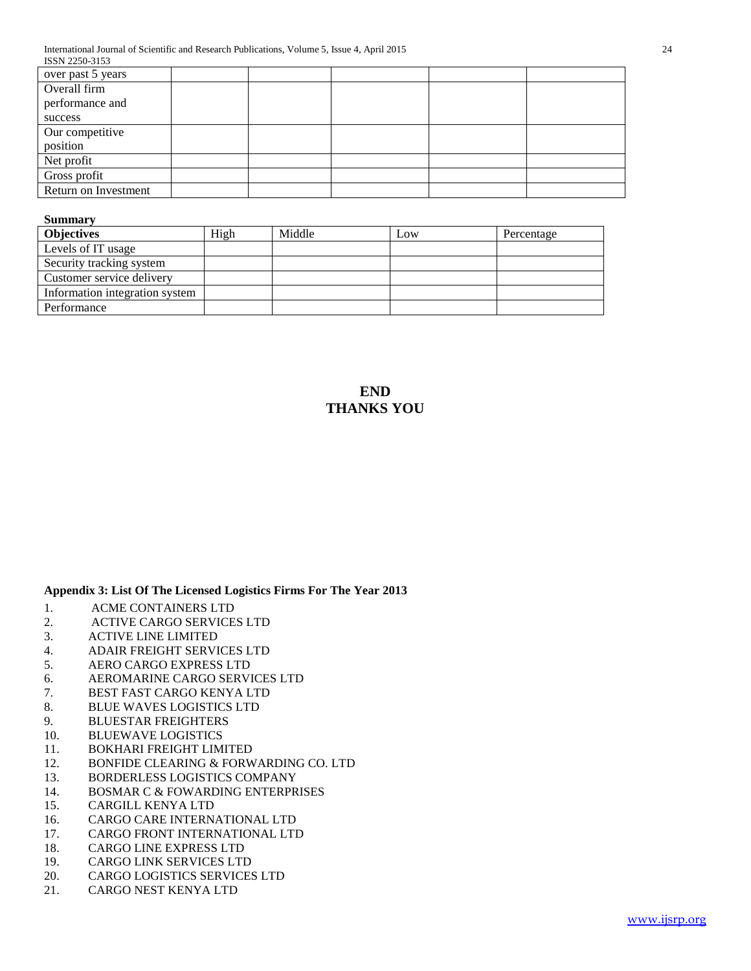| over past 5 years    |  |  |
|----------------------|--|--|
| Overall firm         |  |  |
| performance and      |  |  |
| success              |  |  |
| Our competitive      |  |  |
| position             |  |  |
| Net profit           |  |  |
| Gross profit         |  |  |
| Return on Investment |  |  |
|                      |  |  |

## **Summary**

| <b>Objectives</b>              | High | Middle | Low | Percentage |
|--------------------------------|------|--------|-----|------------|
| Levels of IT usage             |      |        |     |            |
| Security tracking system       |      |        |     |            |
| Customer service delivery      |      |        |     |            |
| Information integration system |      |        |     |            |
| Performance                    |      |        |     |            |

**END THANKS YOU**

# **Appendix 3: List Of The Licensed Logistics Firms For The Year 2013**

- 1. ACME CONTAINERS LTD
- 2. ACTIVE CARGO SERVICES LTD
- 3. ACTIVE LINE LIMITED
- 4. ADAIR FREIGHT SERVICES LTD
- 5. AERO CARGO EXPRESS LTD
- 6. AEROMARINE CARGO SERVICES LTD
- 7. BEST FAST CARGO KENYA LTD
- 8. BLUE WAVES LOGISTICS LTD
- 9. BLUESTAR FREIGHTERS
- 10. BLUEWAVE LOGISTICS
- 11. BOKHARI FREIGHT LIMITED
- 12. BONFIDE CLEARING & FORWARDING CO. LTD
- 13. BORDERLESS LOGISTICS COMPANY
- 14. BOSMAR C & FOWARDING ENTERPRISES
- 15. CARGILL KENYA LTD
- 16. CARGO CARE INTERNATIONAL LTD
- 17. CARGO FRONT INTERNATIONAL LTD
- 18. CARGO LINE EXPRESS LTD
- 19. CARGO LINK SERVICES LTD
- 20. CARGO LOGISTICS SERVICES LTD
- 21. CARGO NEST KENYA LTD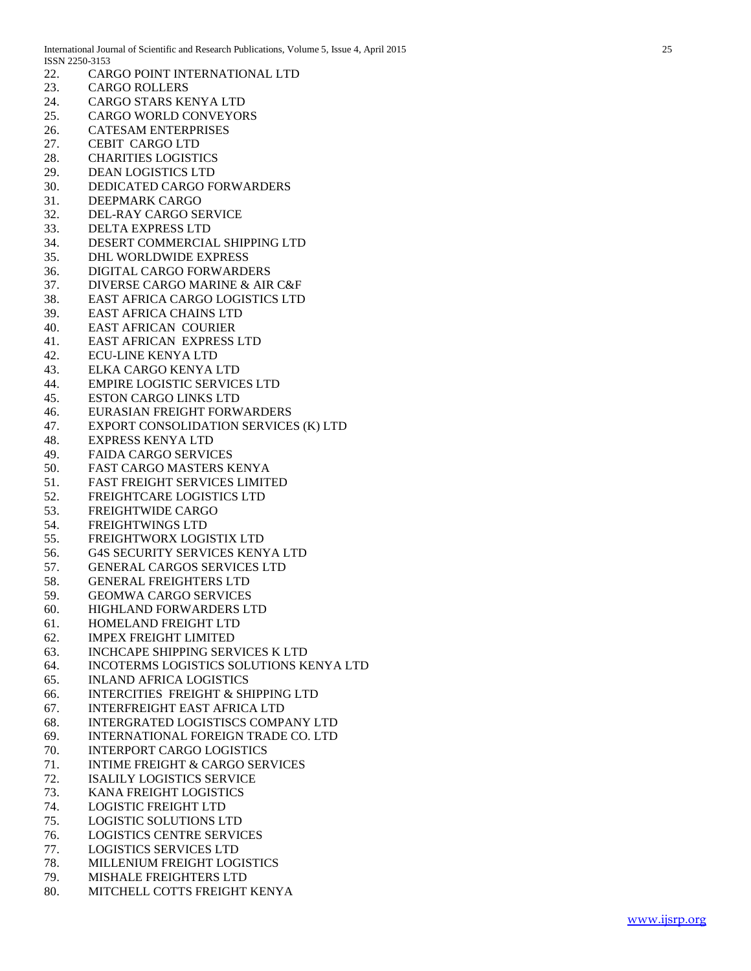| 22. | CARGO POINT INTERNATIONAL LTD                 |
|-----|-----------------------------------------------|
| 23. | <b>CARGO ROLLERS</b>                          |
| 24. | <b>CARGO STARS KENYA LTD</b>                  |
| 25. | <b>CARGO WORLD CONVEYORS</b>                  |
| 26. | <b>CATESAM ENTERPRISES</b>                    |
|     | <b>CEBIT CARGO LTD</b>                        |
| 27. |                                               |
| 28. | <b>CHARITIES LOGISTICS</b>                    |
| 29. | <b>DEAN LOGISTICS LTD</b>                     |
| 30. | DEDICATED CARGO FORWARDERS                    |
| 31. | DEEPMARK CARGO                                |
| 32. | DEL-RAY CARGO SERVICE                         |
| 33. | <b>DELTA EXPRESS LTD</b>                      |
| 34. | DESERT COMMERCIAL SHIPPING LTD                |
| 35. | DHL WORLDWIDE EXPRESS                         |
| 36. | DIGITAL CARGO FORWARDERS                      |
| 37. | DIVERSE CARGO MARINE & AIR C&F                |
| 38. | <b>EAST AFRICA CARGO LOGISTICS LTD</b>        |
| 39. | <b>EAST AFRICA CHAINS LTD</b>                 |
| 40. | <b>EAST AFRICAN COURIER</b>                   |
| 41. | EAST AFRICAN EXPRESS LTD                      |
| 42. | <b>ECU-LINE KENYA LTD</b>                     |
| 43. | ELKA CARGO KENYA LTD                          |
| 44. | <b>EMPIRE LOGISTIC SERVICES LTD</b>           |
| 45. | <b>ESTON CARGO LINKS LTD</b>                  |
| 46. | EURASIAN FREIGHT FORWARDERS                   |
| 47. | EXPORT CONSOLIDATION SERVICES (K) LTD         |
| 48. | <b>EXPRESS KENYA LTD</b>                      |
|     | <b>FAIDA CARGO SERVICES</b>                   |
| 49. |                                               |
| 50. | <b>FAST CARGO MASTERS KENYA</b>               |
| 51. | <b>FAST FREIGHT SERVICES LIMITED</b>          |
| 52. | FREIGHTCARE LOGISTICS LTD                     |
| 53. | FREIGHTWIDE CARGO                             |
| 54. | <b>FREIGHTWINGS LTD</b>                       |
| 55. | FREIGHTWORX LOGISTIX LTD                      |
| 56. | <b>G4S SECURITY SERVICES KENYA LTD</b>        |
| 57. | <b>GENERAL CARGOS SERVICES LTD</b>            |
|     | 58. GENERAL FREIGHTERS LTD                    |
|     | 59. GEOMWA CARGO SERVICES                     |
| 60. | HIGHLAND FORWARDERS LTD                       |
| 61. | HOMELAND FREIGHT LTD                          |
| 62. | <b>IMPEX FREIGHT LIMITED</b>                  |
| 63. | <b>INCHCAPE SHIPPING SERVICES K LTD</b>       |
| 64. | INCOTERMS LOGISTICS SOLUTIONS KENYA LTD       |
| 65. | <b>INLAND AFRICA LOGISTICS</b>                |
| 66. | <b>INTERCITIES FREIGHT &amp; SHIPPING LTD</b> |
| 67. | <b>INTERFREIGHT EAST AFRICA LTD</b>           |
| 68. | <b>INTERGRATED LOGISTISCS COMPANY LTD</b>     |
| 69. | INTERNATIONAL FOREIGN TRADE CO. LTD           |
| 70. | <b>INTERPORT CARGO LOGISTICS</b>              |
| 71. | <b>INTIME FREIGHT &amp; CARGO SERVICES</b>    |
| 72. | <b>ISALILY LOGISTICS SERVICE</b>              |
| 73. | KANA FREIGHT LOGISTICS                        |
| 74. | <b>LOGISTIC FREIGHT LTD</b>                   |
| 75. | <b>LOGISTIC SOLUTIONS LTD</b>                 |
| 76. | <b>LOGISTICS CENTRE SERVICES</b>              |
| 77. |                                               |
|     | <b>LOGISTICS SERVICES LTD</b>                 |
| 78. | MILLENIUM FREIGHT LOGISTICS                   |
| 79. | <b>MISHALE FREIGHTERS LTD</b>                 |
| 80. | MITCHELL COTTS FREIGHT KENYA                  |